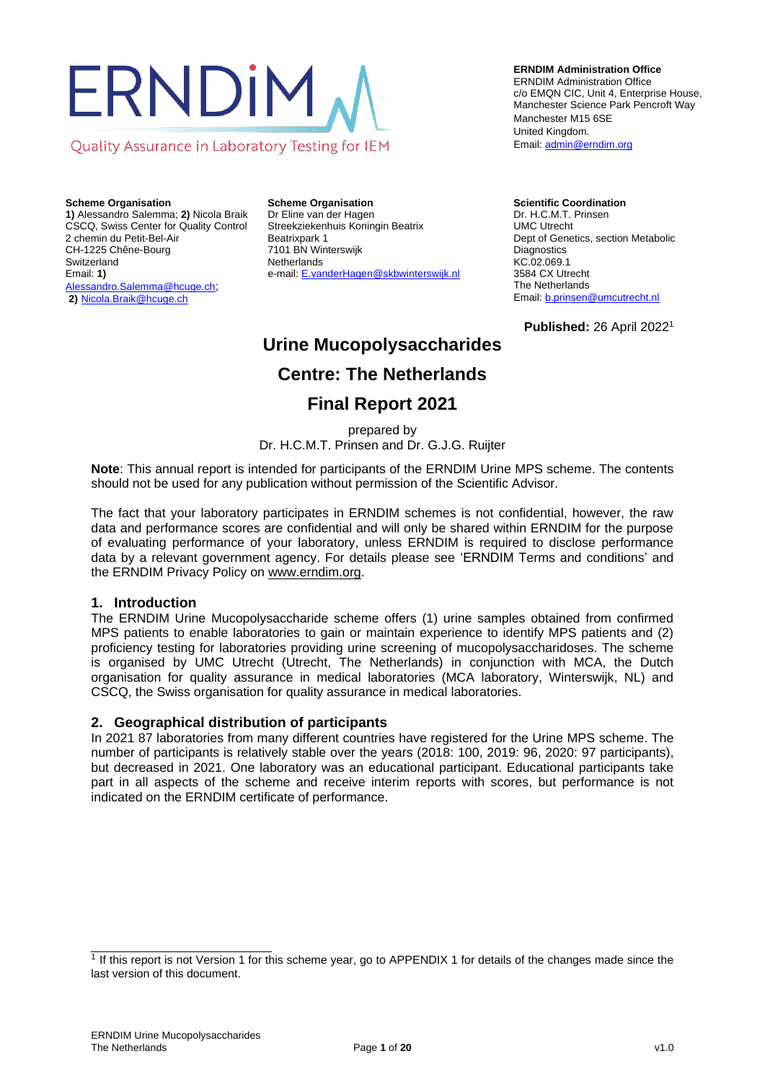# ERNDIM Quality Assurance in Laboratory Testing for IEM

**Scheme Organisation 1)** Alessandro Salemma; **2)** Nicola Braik CSCQ, Swiss Center for Quality Control 2 chemin du Petit-Bel-Air

CH-1225 Chêne-Bourg **Switzerland** Email: **1)** Alessandro.Salemma@hcuge.ch; **2)** Nicola.Braik@hcuge.ch

**Scheme Organisation** Dr Eline van der Hagen Streekziekenhuis Koningin Beatrix Beatrixpark 1 7101 BN Winterswijk **Netherlands** e-mail[: E.vanderHagen@skbwinterswijk.nl](mailto:E.vanderHagen@skbwinterswijk.nl)

#### **ERNDIM Administration Office**

ERNDIM Administration Office c/o EMQN CIC, Unit 4, Enterprise House, Manchester Science Park Pencroft Way Manchester M15 6SE United Kingdom. Email[: admin@erndim.org](mailto:admin@erndim.org)

**Scientific Coordination** Dr. H.C.M.T. Prinsen UMC Utrecht Dept of Genetics, section Metabolic **Diagnostics** KC.02.069.1 3584 CX Utrecht The Netherlands Email[: b.prinsen@umcutrecht.nl](mailto:b.prinsen@umcutrecht.nl)

**Published:** 26 April 2022<sup>1</sup>

# **Urine Mucopolysaccharides**

# **Centre: The Netherlands**

# **Final Report 2021**

prepared by

Dr. H.C.M.T. Prinsen and Dr. G.J.G. Ruijter

**Note**: This annual report is intended for participants of the ERNDIM Urine MPS scheme. The contents should not be used for any publication without permission of the Scientific Advisor.

The fact that your laboratory participates in ERNDIM schemes is not confidential, however, the raw data and performance scores are confidential and will only be shared within ERNDIM for the purpose of evaluating performance of your laboratory, unless ERNDIM is required to disclose performance data by a relevant government agency. For details please see 'ERNDIM Terms and conditions' and the ERNDIM Privacy Policy o[n www.erndim.org.](http://www.erndim.org/)

#### **1. Introduction**

The ERNDIM Urine Mucopolysaccharide scheme offers (1) urine samples obtained from confirmed MPS patients to enable laboratories to gain or maintain experience to identify MPS patients and (2) proficiency testing for laboratories providing urine screening of mucopolysaccharidoses. The scheme is organised by UMC Utrecht (Utrecht, The Netherlands) in conjunction with MCA, the Dutch organisation for quality assurance in medical laboratories (MCA laboratory, Winterswijk, NL) and CSCQ, the Swiss organisation for quality assurance in medical laboratories.

#### **2. Geographical distribution of participants**

In 2021 87 laboratories from many different countries have registered for the Urine MPS scheme. The number of participants is relatively stable over the years (2018: 100, 2019: 96, 2020: 97 participants), but decreased in 2021. One laboratory was an educational participant. Educational participants take part in all aspects of the scheme and receive interim reports with scores, but performance is not indicated on the ERNDIM certificate of performance.

<sup>1</sup> If this report is not Version 1 for this scheme year, go to [APPENDIX 1](#page-19-0) for details of the changes made since the last version of this document.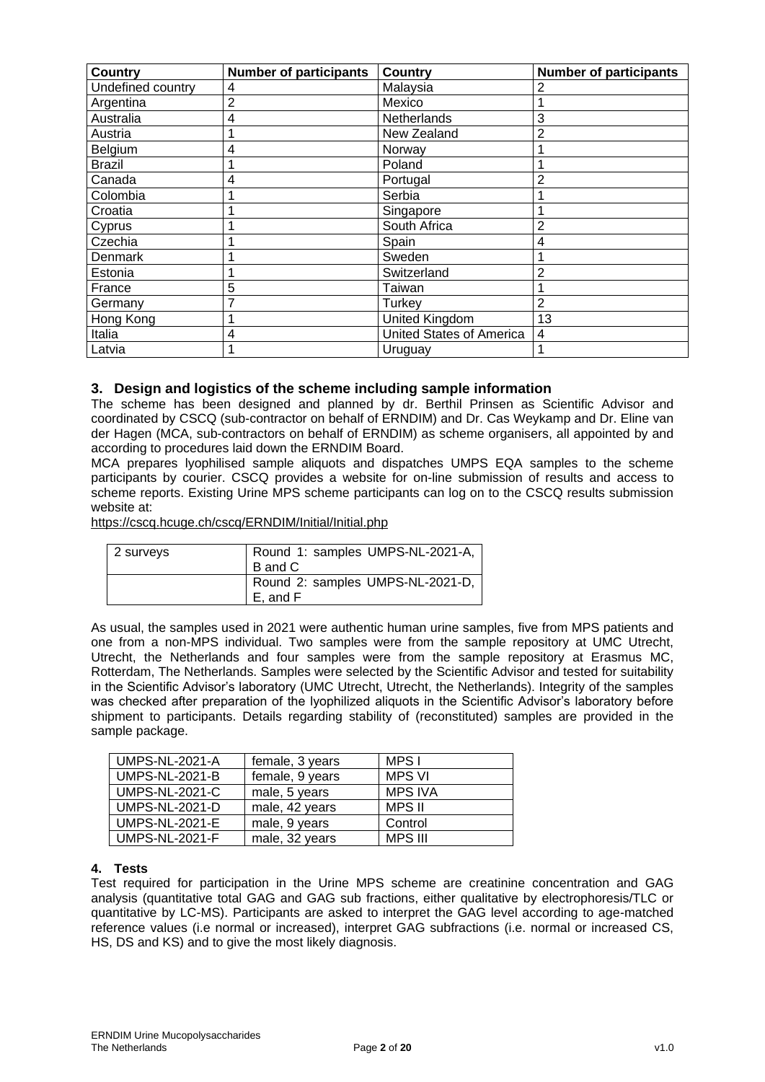| <b>Country</b>    | <b>Number of participants</b> | <b>Country</b>           | <b>Number of participants</b> |
|-------------------|-------------------------------|--------------------------|-------------------------------|
| Undefined country | 4                             | Malaysia                 | 2                             |
| Argentina         | 2                             | Mexico                   |                               |
| Australia         | 4                             | Netherlands              | 3                             |
| Austria           |                               | New Zealand              | $\overline{2}$                |
| Belgium           | 4                             | Norway                   |                               |
| <b>Brazil</b>     |                               | Poland                   |                               |
| Canada            | 4                             | Portugal                 | $\overline{2}$                |
| Colombia          |                               | Serbia                   |                               |
| Croatia           |                               | Singapore                |                               |
| Cyprus            |                               | South Africa             | $\overline{2}$                |
| Czechia           |                               | Spain                    | 4                             |
| Denmark           |                               | Sweden                   |                               |
| Estonia           |                               | Switzerland              | $\overline{2}$                |
| France            | 5                             | Taiwan                   |                               |
| Germany           | 7                             | Turkev                   | 2                             |
| Hong Kong         |                               | United Kingdom           | 13                            |
| Italia            | 4                             | United States of America | 4                             |
| Latvia            |                               | Uruguay                  |                               |

## **3. Design and logistics of the scheme including sample information**

The scheme has been designed and planned by dr. Berthil Prinsen as Scientific Advisor and coordinated by CSCQ (sub-contractor on behalf of ERNDIM) and Dr. Cas Weykamp and Dr. Eline van der Hagen (MCA, sub-contractors on behalf of ERNDIM) as scheme organisers, all appointed by and according to procedures laid down the ERNDIM Board.

MCA prepares lyophilised sample aliquots and dispatches UMPS EQA samples to the scheme participants by courier. CSCQ provides a website for on-line submission of results and access to scheme reports. Existing Urine MPS scheme participants can log on to the CSCQ results submission website at:

<https://cscq.hcuge.ch/cscq/ERNDIM/Initial/Initial.php>

| 2 surveys | Round 1: samples UMPS-NL-2021-A,<br>B and C  |
|-----------|----------------------------------------------|
|           | Round 2: samples UMPS-NL-2021-D,<br>E. and F |

As usual, the samples used in 2021 were authentic human urine samples, five from MPS patients and one from a non-MPS individual. Two samples were from the sample repository at UMC Utrecht, Utrecht, the Netherlands and four samples were from the sample repository at Erasmus MC, Rotterdam, The Netherlands. Samples were selected by the Scientific Advisor and tested for suitability in the Scientific Advisor's laboratory (UMC Utrecht, Utrecht, the Netherlands). Integrity of the samples was checked after preparation of the lyophilized aliquots in the Scientific Advisor's laboratory before shipment to participants. Details regarding stability of (reconstituted) samples are provided in the sample package.

| <b>UMPS-NL-2021-A</b> | female, 3 years | MPS I          |
|-----------------------|-----------------|----------------|
| <b>UMPS-NL-2021-B</b> | female, 9 years | <b>MPS VI</b>  |
| <b>UMPS-NL-2021-C</b> | male, 5 years   | <b>MPS IVA</b> |
| <b>UMPS-NL-2021-D</b> | male, 42 years  | MPS II         |
| <b>UMPS-NL-2021-E</b> | male, 9 years   | Control        |
| <b>UMPS-NL-2021-F</b> | male, 32 years  | <b>MPS III</b> |

#### **4. Tests**

Test required for participation in the Urine MPS scheme are creatinine concentration and GAG analysis (quantitative total GAG and GAG sub fractions, either qualitative by electrophoresis/TLC or quantitative by LC-MS). Participants are asked to interpret the GAG level according to age-matched reference values (i.e normal or increased), interpret GAG subfractions (i.e. normal or increased CS, HS, DS and KS) and to give the most likely diagnosis.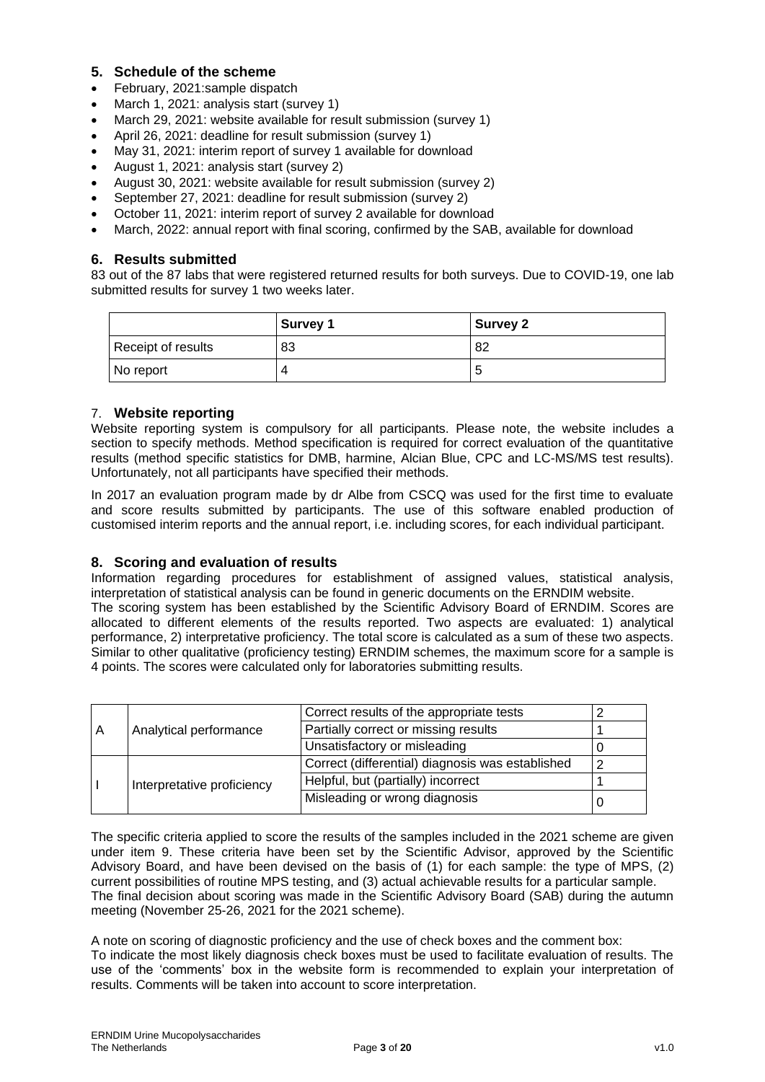## **5. Schedule of the scheme**

- February, 2021:sample dispatch
- March 1, 2021: analysis start (survey 1)
- March 29, 2021: website available for result submission (survey 1)
- April 26, 2021: deadline for result submission (survey 1)
- May 31, 2021: interim report of survey 1 available for download
- August 1, 2021: analysis start (survey 2)
- August 30, 2021: website available for result submission (survey 2)
- September 27, 2021: deadline for result submission (survey 2)
- October 11, 2021: interim report of survey 2 available for download
- March, 2022: annual report with final scoring, confirmed by the SAB, available for download

#### **6. Results submitted**

83 out of the 87 labs that were registered returned results for both surveys. Due to COVID-19, one lab submitted results for survey 1 two weeks later.

|                    | <b>Survey 1</b> | <b>Survey 2</b> |
|--------------------|-----------------|-----------------|
| Receipt of results | 83              | 82              |
| No report          |                 |                 |

#### 7. **Website reporting**

Website reporting system is compulsory for all participants. Please note, the website includes a section to specify methods. Method specification is required for correct evaluation of the quantitative results (method specific statistics for DMB, harmine, Alcian Blue, CPC and LC-MS/MS test results). Unfortunately, not all participants have specified their methods.

In 2017 an evaluation program made by dr Albe from CSCQ was used for the first time to evaluate and score results submitted by participants. The use of this software enabled production of customised interim reports and the annual report, i.e. including scores, for each individual participant.

#### **8. Scoring and evaluation of results**

Information regarding procedures for establishment of assigned values, statistical analysis, interpretation of statistical analysis can be found in generic documents on the ERNDIM website. The scoring system has been established by the Scientific Advisory Board of ERNDIM. Scores are allocated to different elements of the results reported. Two aspects are evaluated: 1) analytical performance, 2) interpretative proficiency. The total score is calculated as a sum of these two aspects. Similar to other qualitative (proficiency testing) ERNDIM schemes, the maximum score for a sample is 4 points. The scores were calculated only for laboratories submitting results.

|                             |  | Correct results of the appropriate tests         |   |
|-----------------------------|--|--------------------------------------------------|---|
| Analytical performance<br>A |  | Partially correct or missing results             |   |
|                             |  | Unsatisfactory or misleading                     |   |
|                             |  | Correct (differential) diagnosis was established | ◠ |
| Interpretative proficiency  |  | Helpful, but (partially) incorrect               |   |
|                             |  | Misleading or wrong diagnosis                    |   |

The specific criteria applied to score the results of the samples included in the 2021 scheme are given under item 9. These criteria have been set by the Scientific Advisor, approved by the Scientific Advisory Board, and have been devised on the basis of (1) for each sample: the type of MPS, (2) current possibilities of routine MPS testing, and (3) actual achievable results for a particular sample. The final decision about scoring was made in the Scientific Advisory Board (SAB) during the autumn meeting (November 25-26, 2021 for the 2021 scheme).

A note on scoring of diagnostic proficiency and the use of check boxes and the comment box: To indicate the most likely diagnosis check boxes must be used to facilitate evaluation of results. The use of the 'comments' box in the website form is recommended to explain your interpretation of results. Comments will be taken into account to score interpretation.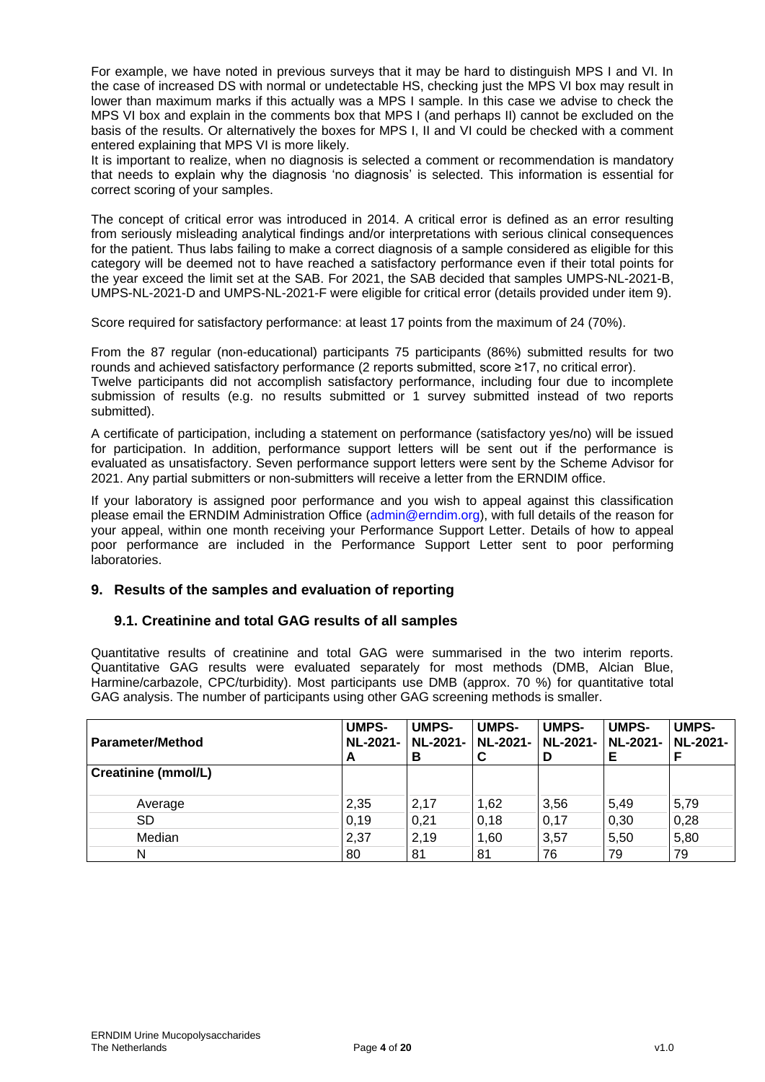For example, we have noted in previous surveys that it may be hard to distinguish MPS I and VI. In the case of increased DS with normal or undetectable HS, checking just the MPS VI box may result in lower than maximum marks if this actually was a MPS I sample. In this case we advise to check the MPS VI box and explain in the comments box that MPS I (and perhaps II) cannot be excluded on the basis of the results. Or alternatively the boxes for MPS I, II and VI could be checked with a comment entered explaining that MPS VI is more likely.

It is important to realize, when no diagnosis is selected a comment or recommendation is mandatory that needs to explain why the diagnosis 'no diagnosis' is selected. This information is essential for correct scoring of your samples.

The concept of critical error was introduced in 2014. A critical error is defined as an error resulting from seriously misleading analytical findings and/or interpretations with serious clinical consequences for the patient. Thus labs failing to make a correct diagnosis of a sample considered as eligible for this category will be deemed not to have reached a satisfactory performance even if their total points for the year exceed the limit set at the SAB. For 2021, the SAB decided that samples UMPS-NL-2021-B, UMPS-NL-2021-D and UMPS-NL-2021-F were eligible for critical error (details provided under item 9).

Score required for satisfactory performance: at least 17 points from the maximum of 24 (70%).

From the 87 regular (non-educational) participants 75 participants (86%) submitted results for two rounds and achieved satisfactory performance (2 reports submitted, score ≥17, no critical error). Twelve participants did not accomplish satisfactory performance, including four due to incomplete submission of results (e.g. no results submitted or 1 survey submitted instead of two reports submitted).

A certificate of participation, including a statement on performance (satisfactory yes/no) will be issued for participation. In addition, performance support letters will be sent out if the performance is evaluated as unsatisfactory. Seven performance support letters were sent by the Scheme Advisor for 2021. Any partial submitters or non-submitters will receive a letter from the ERNDIM office.

If your laboratory is assigned poor performance and you wish to appeal against this classification please email the ERNDIM Administration Office (admin@erndim.org), with full details of the reason for your appeal, within one month receiving your Performance Support Letter. Details of how to appeal poor performance are included in the Performance Support Letter sent to poor performing laboratories.

# **9. Results of the samples and evaluation of reporting**

# **9.1. Creatinine and total GAG results of all samples**

Quantitative results of creatinine and total GAG were summarised in the two interim reports. Quantitative GAG results were evaluated separately for most methods (DMB, Alcian Blue, Harmine/carbazole, CPC/turbidity). Most participants use DMB (approx. 70 %) for quantitative total GAG analysis. The number of participants using other GAG screening methods is smaller.

| Parameter/Method    | <b>UMPS-</b><br><b>NL-2021-</b><br>A | <b>UMPS-</b><br><b>NL-2021-</b><br>в | <b>UMPS-</b><br>  NL-2021- | <b>UMPS-</b><br>D | <b>UMPS-</b><br>  NL-2021-   NL-2021- | <b>UMPS-</b><br>NL-2021- |
|---------------------|--------------------------------------|--------------------------------------|----------------------------|-------------------|---------------------------------------|--------------------------|
| Creatinine (mmol/L) |                                      |                                      |                            |                   |                                       |                          |
| Average             | 2,35                                 | 2,17                                 | 1,62                       | 3,56              | 5,49                                  | 5,79                     |
| <b>SD</b>           | 0.19                                 | 0.21                                 | 0,18                       | 0,17              | 0,30                                  | 0,28                     |
| Median              | 2,37                                 | 2,19                                 | 1.60                       | 3,57              | 5.50                                  | 5,80                     |
| N                   | 80                                   | 81                                   | 81                         | 76                | 79                                    | 79                       |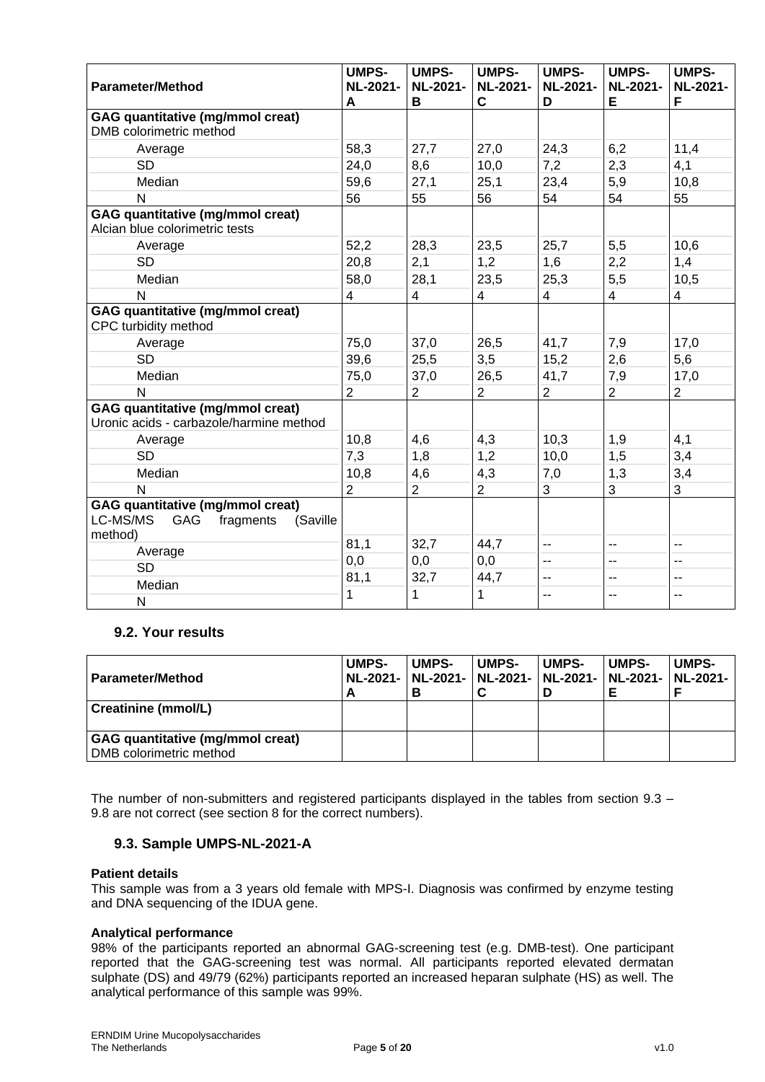| <b>Parameter/Method</b>                                                                        | <b>UMPS-</b><br><b>NL-2021-</b><br>A | <b>UMPS-</b><br><b>NL-2021-</b><br>В | <b>UMPS-</b><br><b>NL-2021-</b><br>C | <b>UMPS-</b><br><b>NL-2021-</b><br>D | <b>UMPS-</b><br><b>NL-2021-</b><br>Е | <b>UMPS-</b><br><b>NL-2021-</b><br>F |
|------------------------------------------------------------------------------------------------|--------------------------------------|--------------------------------------|--------------------------------------|--------------------------------------|--------------------------------------|--------------------------------------|
| <b>GAG quantitative (mg/mmol creat)</b>                                                        |                                      |                                      |                                      |                                      |                                      |                                      |
| DMB colorimetric method                                                                        |                                      |                                      |                                      |                                      |                                      |                                      |
| Average                                                                                        | 58,3                                 | 27,7                                 | 27,0                                 | 24,3                                 | 6,2                                  | 11,4                                 |
| <b>SD</b>                                                                                      | 24,0                                 | 8,6                                  | 10,0                                 | 7,2                                  | 2,3                                  | 4,1                                  |
| Median                                                                                         | 59,6                                 | 27,1                                 | 25,1                                 | 23,4                                 | 5,9                                  | 10,8                                 |
| N                                                                                              | 56                                   | 55                                   | 56                                   | 54                                   | 54                                   | 55                                   |
| GAG quantitative (mg/mmol creat)<br>Alcian blue colorimetric tests                             |                                      |                                      |                                      |                                      |                                      |                                      |
| Average                                                                                        | 52,2                                 | 28,3                                 | 23,5                                 | 25,7                                 | 5,5                                  | 10,6                                 |
| <b>SD</b>                                                                                      | 20,8                                 | 2,1                                  | 1,2                                  | 1,6                                  | 2,2                                  | 1,4                                  |
| Median                                                                                         | 58,0                                 | 28,1                                 | 23,5                                 | 25,3                                 | 5,5                                  | 10,5                                 |
| N                                                                                              | $\overline{\mathbf{4}}$              | $\overline{4}$                       | 4                                    | 4                                    | $\overline{\mathbf{4}}$              | $\overline{\mathcal{A}}$             |
| <b>GAG quantitative (mg/mmol creat)</b><br>CPC turbidity method                                |                                      |                                      |                                      |                                      |                                      |                                      |
| Average                                                                                        | 75,0                                 | 37,0                                 | 26,5                                 | 41,7                                 | 7,9                                  | 17,0                                 |
| <b>SD</b>                                                                                      | 39,6                                 | 25,5                                 | 3,5                                  | 15,2                                 | 2,6                                  | 5,6                                  |
| Median                                                                                         | 75,0                                 | 37,0                                 | 26,5                                 | 41,7                                 | 7,9                                  | 17,0                                 |
| $\mathsf{N}$                                                                                   | $\overline{2}$                       | $\overline{2}$                       | $\overline{2}$                       | 2                                    | $\overline{2}$                       | $\overline{2}$                       |
| <b>GAG quantitative (mg/mmol creat)</b><br>Uronic acids - carbazole/harmine method             |                                      |                                      |                                      |                                      |                                      |                                      |
| Average                                                                                        | 10,8                                 | 4,6                                  | 4,3                                  | 10,3                                 | 1,9                                  | 4,1                                  |
| <b>SD</b>                                                                                      | 7,3                                  | 1,8                                  | 1,2                                  | 10,0                                 | 1,5                                  | 3,4                                  |
| Median                                                                                         | 10,8                                 | 4,6                                  | 4,3                                  | 7,0                                  | 1,3                                  | 3,4                                  |
| N                                                                                              | $\overline{2}$                       | $\overline{2}$                       | $\overline{2}$                       | 3                                    | 3                                    | 3                                    |
| <b>GAG</b> quantitative (mg/mmol creat)<br>LC-MS/MS<br>GAG<br>fragments<br>(Saville<br>method) |                                      |                                      |                                      |                                      |                                      |                                      |
| Average                                                                                        | 81,1                                 | 32,7                                 | 44,7                                 | --                                   | $\overline{a}$                       | --                                   |
| <b>SD</b>                                                                                      | 0,0                                  | 0,0                                  | 0,0                                  | --                                   | --                                   | $\overline{a}$                       |
| Median                                                                                         | 81,1                                 | 32,7                                 | 44,7                                 | --                                   | --                                   | --                                   |
| N                                                                                              | 1                                    | 1                                    | 1                                    | --                                   | $\overline{a}$                       | $\overline{a}$                       |

# **9.2. Your results**

| l Parameter/Method                                          | <b>UMPS-</b><br>А | <b>UMPS-</b><br>NL-2021-   NL-2021-   NL-2021-   NL-2021-   NL-2021-   NL-2021- | <b>UMPS-</b> | <b>UMPS-</b> | <b>UMPS-</b> | <b>UMPS-</b> |
|-------------------------------------------------------------|-------------------|---------------------------------------------------------------------------------|--------------|--------------|--------------|--------------|
| Creatinine (mmol/L)                                         |                   |                                                                                 |              |              |              |              |
| GAG quantitative (mg/mmol creat)<br>DMB colorimetric method |                   |                                                                                 |              |              |              |              |

The number of non-submitters and registered participants displayed in the tables from section 9.3 – 9.8 are not correct (see section 8 for the correct numbers).

#### **9.3. Sample UMPS-NL-2021-A**

#### **Patient details**

This sample was from a 3 years old female with MPS-I. Diagnosis was confirmed by enzyme testing and DNA sequencing of the IDUA gene.

#### **Analytical performance**

98% of the participants reported an abnormal GAG-screening test (e.g. DMB-test). One participant reported that the GAG-screening test was normal. All participants reported elevated dermatan sulphate (DS) and 49/79 (62%) participants reported an increased heparan sulphate (HS) as well. The analytical performance of this sample was 99%.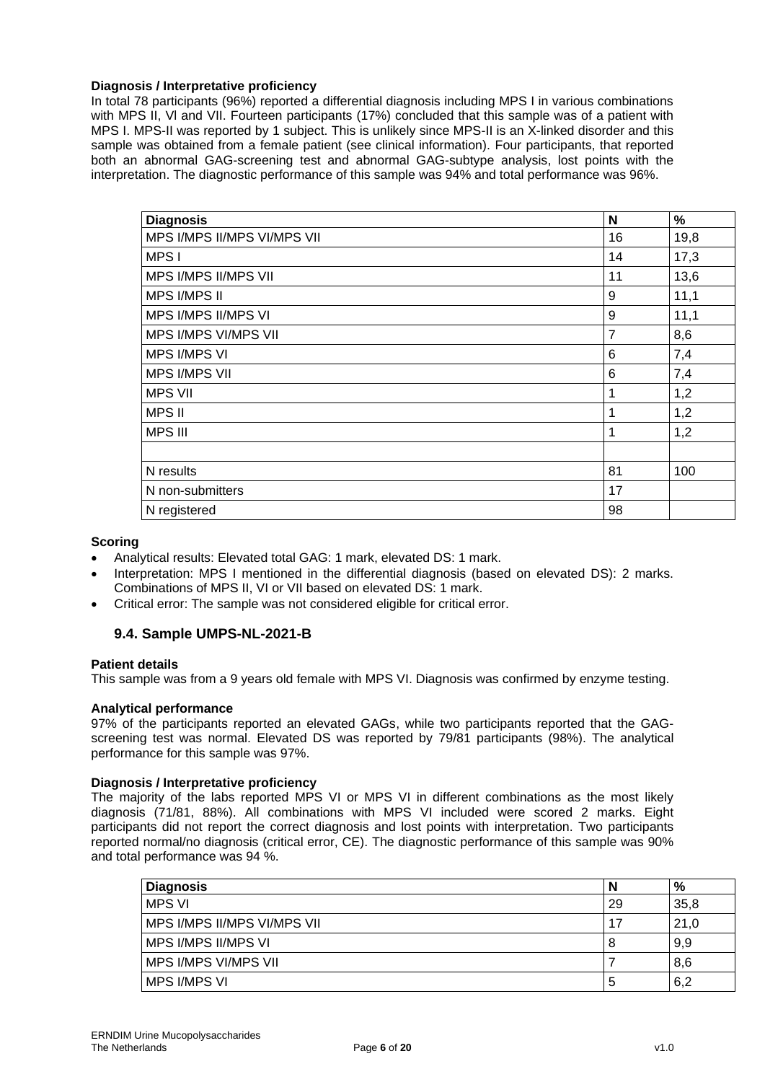#### **Diagnosis / Interpretative proficiency**

In total 78 participants (96%) reported a differential diagnosis including MPS I in various combinations with MPS II, VI and VII. Fourteen participants (17%) concluded that this sample was of a patient with MPS I. MPS-II was reported by 1 subject. This is unlikely since MPS-II is an X-linked disorder and this sample was obtained from a female patient (see clinical information). Four participants, that reported both an abnormal GAG-screening test and abnormal GAG-subtype analysis, lost points with the interpretation. The diagnostic performance of this sample was 94% and total performance was 96%.

| <b>Diagnosis</b>            | N              | %    |
|-----------------------------|----------------|------|
| MPS I/MPS II/MPS VI/MPS VII | 16             | 19,8 |
| MPS I                       | 14             | 17,3 |
| MPS I/MPS II/MPS VII        | 11             | 13,6 |
| <b>MPS I/MPS II</b>         | 9              | 11,1 |
| MPS I/MPS II/MPS VI         | 9              | 11,1 |
| MPS I/MPS VI/MPS VII        | $\overline{7}$ | 8,6  |
| <b>MPS I/MPS VI</b>         | 6              | 7,4  |
| <b>MPS I/MPS VII</b>        | 6              | 7,4  |
| <b>MPS VII</b>              | 1              | 1,2  |
| <b>MPS II</b>               | 1              | 1,2  |
| <b>MPS III</b>              | 1              | 1,2  |
|                             |                |      |
| N results                   | 81             | 100  |
| N non-submitters            | 17             |      |
| N registered                | 98             |      |

#### **Scoring**

- Analytical results: Elevated total GAG: 1 mark, elevated DS: 1 mark.
- Interpretation: MPS I mentioned in the differential diagnosis (based on elevated DS): 2 marks. Combinations of MPS II, VI or VII based on elevated DS: 1 mark.
- Critical error: The sample was not considered eligible for critical error.

#### **9.4. Sample UMPS-NL-2021-B**

#### **Patient details**

This sample was from a 9 years old female with MPS VI. Diagnosis was confirmed by enzyme testing.

#### **Analytical performance**

97% of the participants reported an elevated GAGs, while two participants reported that the GAGscreening test was normal. Elevated DS was reported by 79/81 participants (98%). The analytical performance for this sample was 97%.

#### **Diagnosis / Interpretative proficiency**

The majority of the labs reported MPS VI or MPS VI in different combinations as the most likely diagnosis (71/81, 88%). All combinations with MPS VI included were scored 2 marks. Eight participants did not report the correct diagnosis and lost points with interpretation. Two participants reported normal/no diagnosis (critical error, CE). The diagnostic performance of this sample was 90% and total performance was 94 %.

| <b>Diagnosis</b>            |    | %    |
|-----------------------------|----|------|
| MPS VI                      | 29 | 35,8 |
| MPS I/MPS II/MPS VI/MPS VII | 17 | 21,0 |
| MPS I/MPS II/MPS VI         | 8  | 9,9  |
| MPS I/MPS VI/MPS VII        |    | 8,6  |
| <b>MPS I/MPS VI</b>         | b  | 6,2  |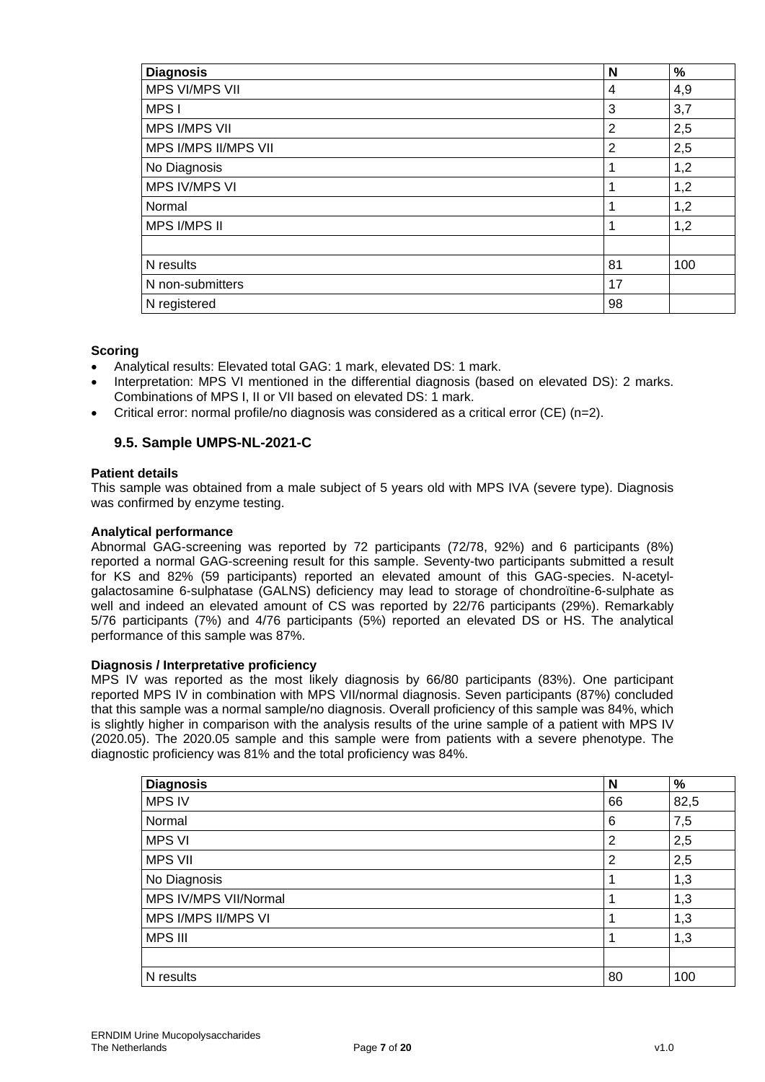| <b>Diagnosis</b>     | N              | $\%$ |
|----------------------|----------------|------|
| MPS VI/MPS VII       | 4              | 4,9  |
| MPS I                | 3              | 3,7  |
| <b>MPS I/MPS VII</b> | 2              | 2,5  |
| MPS I/MPS II/MPS VII | $\overline{2}$ | 2,5  |
| No Diagnosis         |                | 1,2  |
| <b>MPS IV/MPS VI</b> |                | 1,2  |
| Normal               | 1              | 1,2  |
| <b>MPS I/MPS II</b>  | 1              | 1,2  |
|                      |                |      |
| N results            | 81             | 100  |
| N non-submitters     | 17             |      |
| N registered         | 98             |      |

#### **Scoring**

- Analytical results: Elevated total GAG: 1 mark, elevated DS: 1 mark.
- Interpretation: MPS VI mentioned in the differential diagnosis (based on elevated DS): 2 marks. Combinations of MPS I, II or VII based on elevated DS: 1 mark.
- Critical error: normal profile/no diagnosis was considered as a critical error (CE) (n=2).

# **9.5. Sample UMPS-NL-2021-C**

#### **Patient details**

This sample was obtained from a male subject of 5 years old with MPS IVA (severe type). Diagnosis was confirmed by enzyme testing.

#### **Analytical performance**

Abnormal GAG-screening was reported by 72 participants (72/78, 92%) and 6 participants (8%) reported a normal GAG-screening result for this sample. Seventy-two participants submitted a result for KS and 82% (59 participants) reported an elevated amount of this GAG-species. N-acetylgalactosamine 6-sulphatase (GALNS) deficiency may lead to storage of chondroïtine-6-sulphate as well and indeed an elevated amount of CS was reported by 22/76 participants (29%). Remarkably 5/76 participants (7%) and 4/76 participants (5%) reported an elevated DS or HS. The analytical performance of this sample was 87%.

#### **Diagnosis / Interpretative proficiency**

MPS IV was reported as the most likely diagnosis by 66/80 participants (83%). One participant reported MPS IV in combination with MPS VII/normal diagnosis. Seven participants (87%) concluded that this sample was a normal sample/no diagnosis. Overall proficiency of this sample was 84%, which is slightly higher in comparison with the analysis results of the urine sample of a patient with MPS IV (2020.05). The 2020.05 sample and this sample were from patients with a severe phenotype. The diagnostic proficiency was 81% and the total proficiency was 84%.

| <b>Diagnosis</b>      | N  | %    |
|-----------------------|----|------|
| <b>MPS IV</b>         | 66 | 82,5 |
| Normal                | 6  | 7,5  |
| <b>MPS VI</b>         | 2  | 2,5  |
| <b>MPS VII</b>        | 2  | 2,5  |
| No Diagnosis          |    | 1,3  |
| MPS IV/MPS VII/Normal |    | 1,3  |
| MPS I/MPS II/MPS VI   |    | 1,3  |
| <b>MPS III</b>        |    | 1,3  |
|                       |    |      |
| N results             | 80 | 100  |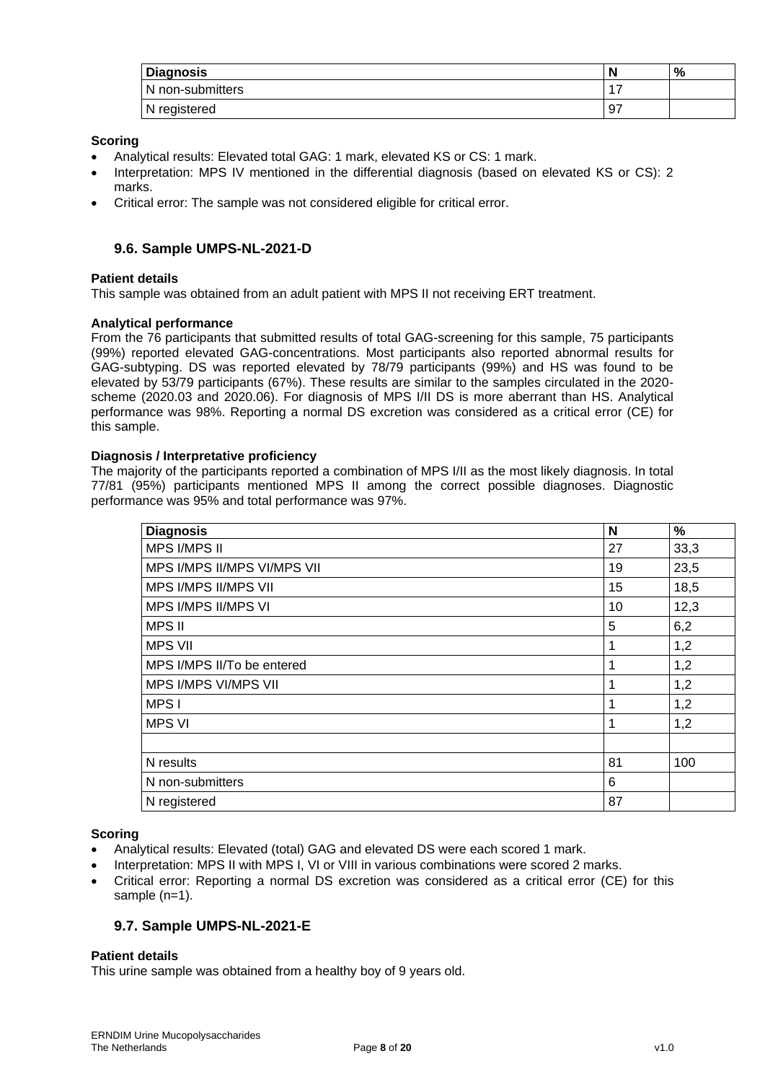| <b>Diagnosis</b> | N  | % |
|------------------|----|---|
| N non-submitters |    |   |
| N registered     | 97 |   |

#### **Scoring**

- Analytical results: Elevated total GAG: 1 mark, elevated KS or CS: 1 mark.
- Interpretation: MPS IV mentioned in the differential diagnosis (based on elevated KS or CS): 2 marks.
- Critical error: The sample was not considered eligible for critical error.

## **9.6. Sample UMPS-NL-2021-D**

#### **Patient details**

This sample was obtained from an adult patient with MPS II not receiving ERT treatment.

#### **Analytical performance**

From the 76 participants that submitted results of total GAG-screening for this sample, 75 participants (99%) reported elevated GAG-concentrations. Most participants also reported abnormal results for GAG-subtyping. DS was reported elevated by 78/79 participants (99%) and HS was found to be elevated by 53/79 participants (67%). These results are similar to the samples circulated in the 2020 scheme (2020.03 and 2020.06). For diagnosis of MPS I/II DS is more aberrant than HS. Analytical performance was 98%. Reporting a normal DS excretion was considered as a critical error (CE) for this sample.

#### **Diagnosis / Interpretative proficiency**

The majority of the participants reported a combination of MPS I/II as the most likely diagnosis. In total 77/81 (95%) participants mentioned MPS II among the correct possible diagnoses. Diagnostic performance was 95% and total performance was 97%.

| <b>Diagnosis</b>            | N  | %    |
|-----------------------------|----|------|
| <b>MPS I/MPS II</b>         | 27 | 33,3 |
| MPS I/MPS II/MPS VI/MPS VII | 19 | 23,5 |
| MPS I/MPS II/MPS VII        | 15 | 18,5 |
| MPS I/MPS II/MPS VI         | 10 | 12,3 |
| <b>MPS II</b>               | 5  | 6,2  |
| <b>MPS VII</b>              | 1  | 1,2  |
| MPS I/MPS II/To be entered  |    | 1,2  |
| MPS I/MPS VI/MPS VII        | 1  | 1,2  |
| MPS I                       | 1  | 1,2  |
| <b>MPS VI</b>               | 1  | 1,2  |
|                             |    |      |
| N results                   | 81 | 100  |
| N non-submitters            | 6  |      |
| N registered                | 87 |      |

#### **Scoring**

- Analytical results: Elevated (total) GAG and elevated DS were each scored 1 mark.
- Interpretation: MPS II with MPS I, VI or VIII in various combinations were scored 2 marks.
- Critical error: Reporting a normal DS excretion was considered as a critical error (CE) for this sample (n=1).

#### **9.7. Sample UMPS-NL-2021-E**

#### **Patient details**

This urine sample was obtained from a healthy boy of 9 years old.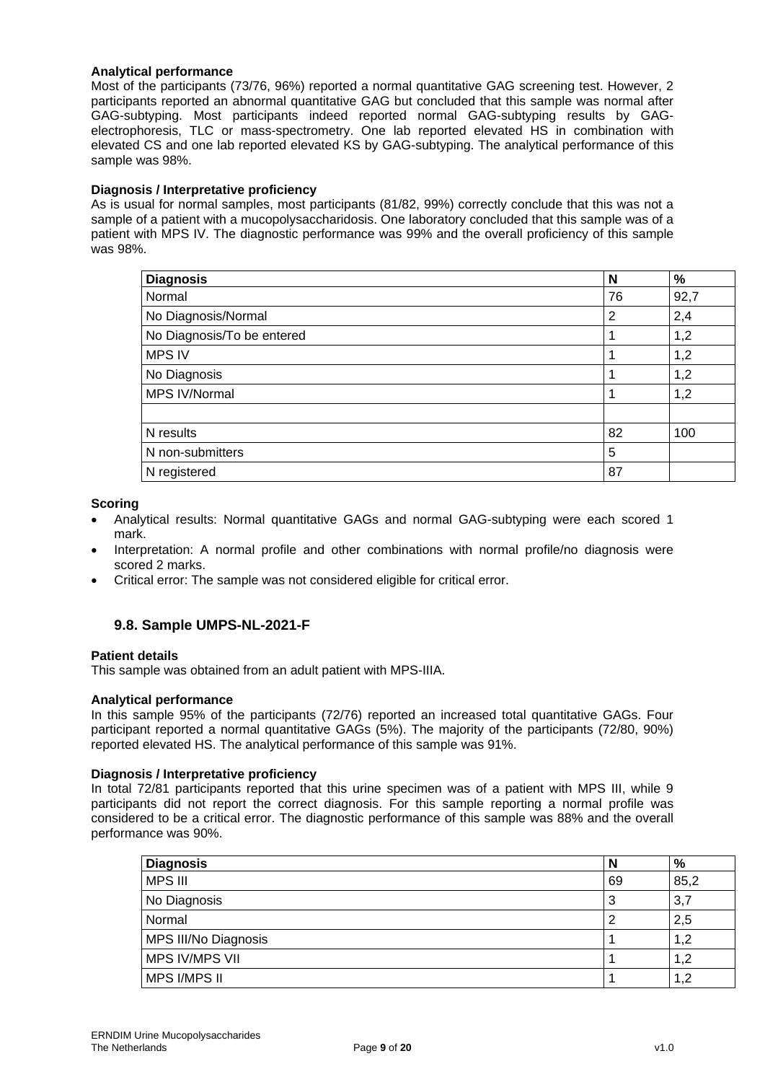#### **Analytical performance**

Most of the participants (73/76, 96%) reported a normal quantitative GAG screening test. However, 2 participants reported an abnormal quantitative GAG but concluded that this sample was normal after GAG-subtyping. Most participants indeed reported normal GAG-subtyping results by GAGelectrophoresis, TLC or mass-spectrometry. One lab reported elevated HS in combination with elevated CS and one lab reported elevated KS by GAG-subtyping. The analytical performance of this sample was 98%.

#### **Diagnosis / Interpretative proficiency**

As is usual for normal samples, most participants (81/82, 99%) correctly conclude that this was not a sample of a patient with a mucopolysaccharidosis. One laboratory concluded that this sample was of a patient with MPS IV. The diagnostic performance was 99% and the overall proficiency of this sample was 98%.

| <b>Diagnosis</b>           | N  | %    |
|----------------------------|----|------|
| Normal                     | 76 | 92,7 |
| No Diagnosis/Normal        | 2  | 2,4  |
| No Diagnosis/To be entered |    | 1,2  |
| <b>MPS IV</b>              |    | 1,2  |
| No Diagnosis               |    | 1,2  |
| MPS IV/Normal              |    | 1,2  |
|                            |    |      |
| N results                  | 82 | 100  |
| N non-submitters           | 5  |      |
| N registered               | 87 |      |

#### **Scoring**

- Analytical results: Normal quantitative GAGs and normal GAG-subtyping were each scored 1 mark.
- Interpretation: A normal profile and other combinations with normal profile/no diagnosis were scored 2 marks.
- Critical error: The sample was not considered eligible for critical error.

#### **9.8. Sample UMPS-NL-2021-F**

#### **Patient details**

This sample was obtained from an adult patient with MPS-IIIA.

#### **Analytical performance**

In this sample 95% of the participants (72/76) reported an increased total quantitative GAGs. Four participant reported a normal quantitative GAGs (5%). The majority of the participants (72/80, 90%) reported elevated HS. The analytical performance of this sample was 91%.

#### **Diagnosis / Interpretative proficiency**

In total 72/81 participants reported that this urine specimen was of a patient with MPS III, while 9 participants did not report the correct diagnosis. For this sample reporting a normal profile was considered to be a critical error. The diagnostic performance of this sample was 88% and the overall performance was 90%.

| <b>Diagnosis</b>     | N  | %        |
|----------------------|----|----------|
| <b>MPS III</b>       | 69 | 85,2     |
| No Diagnosis         | J  | 3,7      |
| Normal               |    | 2,5      |
| MPS III/No Diagnosis |    | 1,2      |
| MPS IV/MPS VII       |    | 1,2      |
| MPS I/MPS II         |    | 1,2<br>1 |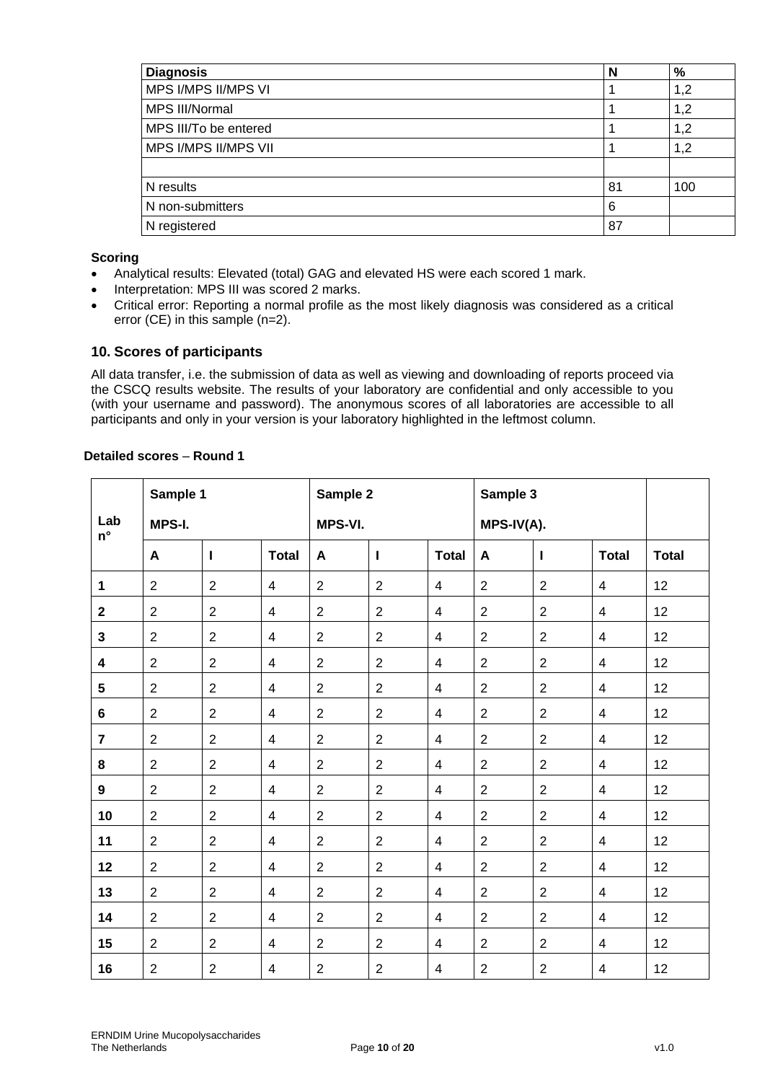| <b>Diagnosis</b>      | N  | $\%$ |
|-----------------------|----|------|
| MPS I/MPS II/MPS VI   |    | 1,2  |
| MPS III/Normal        |    | 1,2  |
| MPS III/To be entered |    | 1,2  |
| MPS I/MPS II/MPS VII  |    | 1,2  |
|                       |    |      |
| N results             | 81 | 100  |
| N non-submitters      | 6  |      |
| N registered          | 87 |      |

#### **Scoring**

- Analytical results: Elevated (total) GAG and elevated HS were each scored 1 mark.
- Interpretation: MPS III was scored 2 marks.
- Critical error: Reporting a normal profile as the most likely diagnosis was considered as a critical error (CE) in this sample (n=2).

## **10. Scores of participants**

All data transfer, i.e. the submission of data as well as viewing and downloading of reports proceed via the CSCQ results website. The results of your laboratory are confidential and only accessible to you (with your username and password). The anonymous scores of all laboratories are accessible to all participants and only in your version is your laboratory highlighted in the leftmost column.

| Detailed scores - Round 1 |  |
|---------------------------|--|
|                           |  |

|                           | Sample 1       |                  |                | Sample 2       |                |                          | Sample 3       |                |                |              |
|---------------------------|----------------|------------------|----------------|----------------|----------------|--------------------------|----------------|----------------|----------------|--------------|
| Lab<br>$\mathsf{n}^\circ$ | MPS-I.         |                  |                | <b>MPS-VI.</b> |                |                          |                | MPS-IV(A).     |                |              |
|                           | A              | L                | <b>Total</b>   | A              | L              | <b>Total</b>             | A              | $\mathbf{I}$   | <b>Total</b>   | <b>Total</b> |
| 1                         | $\overline{2}$ | $\overline{2}$   | $\overline{4}$ | $\overline{2}$ | $\overline{2}$ | $\overline{4}$           | $\overline{2}$ | $\overline{2}$ | $\overline{4}$ | 12           |
| $\mathbf{2}$              | 2              | $\overline{2}$   | $\overline{4}$ | 2              | $\overline{2}$ | $\overline{4}$           | $\overline{2}$ | 2              | $\overline{4}$ | 12           |
| 3                         | $\overline{2}$ | $\overline{2}$   | $\overline{4}$ | $\overline{2}$ | $\overline{2}$ | $\overline{4}$           | $\overline{2}$ | 2              | $\overline{4}$ | 12           |
| 4                         | $\overline{2}$ | $\overline{2}$   | 4              | $\overline{2}$ | $\overline{2}$ | 4                        | $\overline{2}$ | 2              | 4              | 12           |
| 5                         | $\overline{2}$ | $\overline{2}$   | $\overline{4}$ | $\overline{2}$ | $\overline{2}$ | $\overline{4}$           | $\overline{2}$ | $\overline{2}$ | $\overline{4}$ | 12           |
| 6                         | $\overline{2}$ | $\overline{2}$   | 4              | $\overline{2}$ | $\overline{2}$ | 4                        | $\overline{2}$ | $\overline{2}$ | 4              | 12           |
| $\overline{\mathbf{7}}$   | $\overline{2}$ | $\overline{2}$   | $\overline{4}$ | $\overline{2}$ | $\overline{2}$ | $\overline{\mathcal{A}}$ | $\overline{2}$ | $\overline{2}$ | $\overline{4}$ | 12           |
| 8                         | $\overline{2}$ | $\overline{2}$   | $\overline{4}$ | $\overline{2}$ | $\overline{2}$ | $\overline{4}$           | $\overline{2}$ | $\overline{2}$ | $\overline{4}$ | 12           |
| 9                         | $\overline{2}$ | $\overline{2}$   | $\overline{4}$ | 2              | $\overline{2}$ | $\overline{\mathcal{A}}$ | $\overline{2}$ | $\overline{2}$ | $\overline{4}$ | 12           |
| 10                        | 2              | $\overline{2}$   | $\overline{4}$ | 2              | $\overline{2}$ | 4                        | 2              | $\overline{2}$ | 4              | 12           |
| 11                        | 2              | $\overline{2}$   | $\overline{4}$ | $\overline{2}$ | $\overline{2}$ | $\overline{4}$           | $\overline{2}$ | $\overline{2}$ | $\overline{4}$ | 12           |
| 12                        | $\overline{2}$ | $\overline{2}$   | 4              | $\overline{2}$ | $\overline{2}$ | 4                        | $\overline{2}$ | $\overline{2}$ | 4              | 12           |
| 13                        | $\overline{2}$ | $\overline{2}$   | $\overline{4}$ | $\overline{2}$ | $\overline{2}$ | $\overline{4}$           | $\overline{2}$ | $\overline{2}$ | $\overline{4}$ | 12           |
| 14                        | $\overline{2}$ | $\overline{2}$   | $\overline{4}$ | $\overline{2}$ | $\overline{2}$ | 4                        | $\overline{2}$ | 2              | $\overline{4}$ | 12           |
| 15                        | $\overline{2}$ | $\overline{2}$   | $\overline{4}$ | $\sqrt{2}$     | $\overline{2}$ | $\overline{4}$           | $\overline{2}$ | $\overline{2}$ | $\overline{4}$ | 12           |
| 16                        | $\overline{2}$ | $\boldsymbol{2}$ | 4              | $\overline{2}$ | $\overline{2}$ | 4                        | $\overline{c}$ | $\overline{2}$ | 4              | 12           |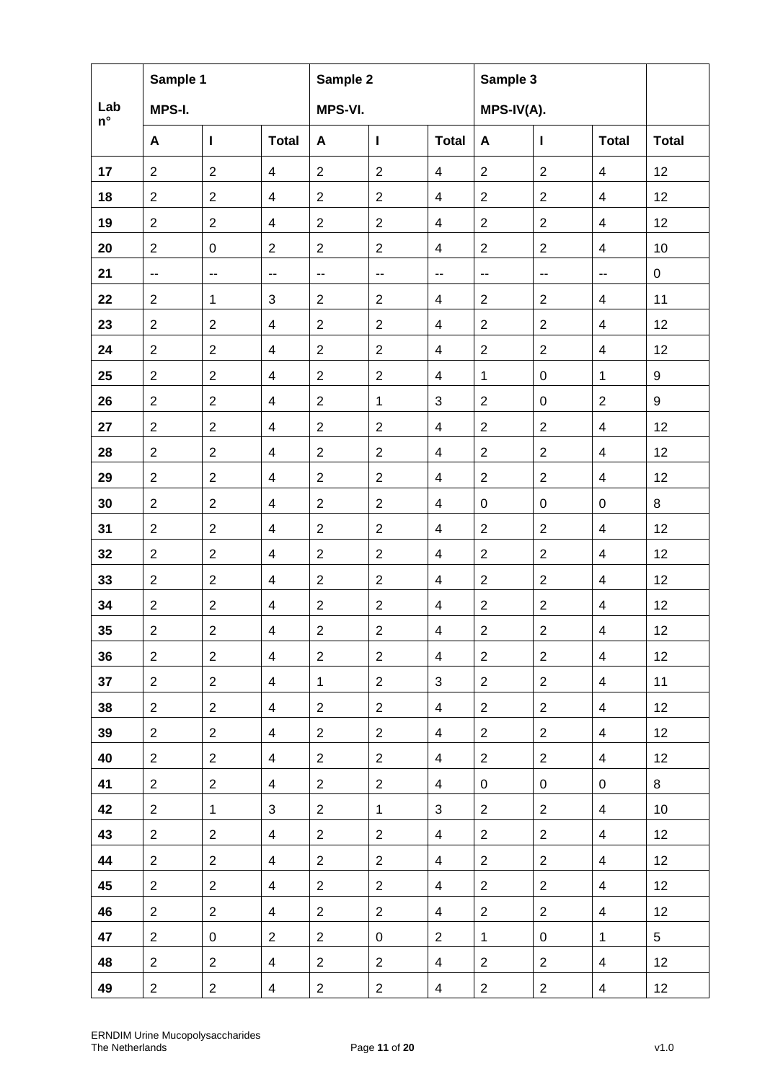|                    | Sample 1                                      |                          |                         | Sample 2                 |                          |                          | Sample 3                 |                          |                          |              |
|--------------------|-----------------------------------------------|--------------------------|-------------------------|--------------------------|--------------------------|--------------------------|--------------------------|--------------------------|--------------------------|--------------|
| Lab<br>$n^{\circ}$ | MPS-I.                                        |                          |                         | MPS-VI.                  |                          |                          | MPS-IV(A).               |                          |                          |              |
|                    | A                                             | $\mathbf{I}$             | <b>Total</b>            | A                        | $\mathbf{I}$             | <b>Total</b>             | A                        | L                        | <b>Total</b>             | <b>Total</b> |
| 17                 | $\overline{2}$                                | $\overline{2}$           | $\overline{4}$          | $\sqrt{2}$               | $\sqrt{2}$               | $\overline{4}$           | $\overline{2}$           | $\sqrt{2}$               | $\overline{4}$           | 12           |
| 18                 | 2                                             | $\overline{2}$           | $\overline{4}$          | $\overline{2}$           | $\sqrt{2}$               | $\overline{4}$           | $\overline{2}$           | 2                        | 4                        | 12           |
| 19                 | $\overline{2}$                                | $\overline{2}$           | $\overline{4}$          | $\overline{2}$           | $\overline{2}$           | $\overline{\mathcal{A}}$ | $\overline{2}$           | $\overline{2}$           | $\overline{4}$           | 12           |
| 20                 | $\overline{2}$                                | $\pmb{0}$                | $\overline{2}$          | $\overline{2}$           | $\overline{2}$           | $\overline{\mathcal{A}}$ | $\overline{2}$           | $\overline{2}$           | $\overline{4}$           | 10           |
| 21                 | $\mathord{\hspace{1pt}\text{--}\hspace{1pt}}$ | $\overline{\phantom{a}}$ | --                      | $\overline{\phantom{a}}$ | $\overline{\phantom{a}}$ | $\overline{\phantom{a}}$ | $\overline{\phantom{a}}$ | $\overline{\phantom{a}}$ | $\overline{\phantom{a}}$ | $\mathbf 0$  |
| 22                 | 2                                             | $\mathbf{1}$             | 3                       | $\overline{c}$           | $\overline{2}$           | 4                        | $\overline{2}$           | $\overline{2}$           | $\overline{4}$           | 11           |
| 23                 | $\overline{2}$                                | $\overline{2}$           | $\overline{4}$          | $\overline{2}$           | $\overline{2}$           | $\overline{\mathbf{4}}$  | $\overline{2}$           | $\overline{2}$           | $\overline{4}$           | 12           |
| 24                 | 2                                             | $\overline{2}$           | $\overline{4}$          | $\sqrt{2}$               | $\overline{2}$           | $\overline{\mathbf{4}}$  | $\overline{c}$           | $\overline{2}$           | $\overline{4}$           | 12           |
| 25                 | 2                                             | $\overline{2}$           | $\overline{4}$          | $\overline{2}$           | $\overline{2}$           | $\overline{4}$           | $\mathbf 1$              | $\mathbf 0$              | $\mathbf{1}$             | 9            |
| 26                 | $\overline{2}$                                | $\overline{2}$           | $\overline{4}$          | $\sqrt{2}$               | $\mathbf{1}$             | $\mathbf{3}$             | $\overline{c}$           | $\mathbf 0$              | $\overline{2}$           | 9            |
| 27                 | 2                                             | $\overline{2}$           | $\overline{\mathbf{4}}$ | $\overline{2}$           | $\overline{2}$           | $\overline{\mathbf{4}}$  | $\overline{c}$           | $\overline{2}$           | 4                        | 12           |
| 28                 | 2                                             | $\overline{2}$           | $\overline{4}$          | $\overline{2}$           | $\overline{2}$           | $\overline{4}$           | $\overline{2}$           | 2                        | $\overline{4}$           | 12           |
| 29                 | 2                                             | $\overline{2}$           | $\overline{\mathbf{4}}$ | $\overline{2}$           | $\overline{2}$           | $\overline{\mathbf{4}}$  | $\overline{2}$           | $\overline{2}$           | $\overline{4}$           | 12           |
| 30                 | $\overline{2}$                                | $\overline{c}$           | $\overline{\mathbf{4}}$ | $\sqrt{2}$               | $\sqrt{2}$               | $\overline{\mathbf{4}}$  | 0                        | 0                        | 0                        | 8            |
| 31                 | 2                                             | $\overline{2}$           | $\overline{\mathbf{4}}$ | $\overline{2}$           | $\overline{2}$           | 4                        | $\overline{2}$           | $\overline{2}$           | 4                        | 12           |
| 32                 | $\overline{2}$                                | $\overline{2}$           | $\overline{4}$          | $\overline{2}$           | $\overline{2}$           | $\overline{4}$           | $\overline{2}$           | $\overline{2}$           | $\overline{4}$           | 12           |
| 33                 | $\overline{2}$                                | $\overline{2}$           | $\overline{\mathbf{4}}$ | $\sqrt{2}$               | $\overline{2}$           | $\overline{\mathbf{4}}$  | $\overline{2}$           | $\overline{2}$           | $\overline{\mathcal{A}}$ | 12           |
| 34                 | 2                                             | $\overline{2}$           | $\overline{4}$          | $\overline{2}$           | $\sqrt{2}$               | $\overline{4}$           | $\overline{c}$           | $\overline{2}$           | 4                        | 12           |
| 35                 | $\overline{2}$                                | $\overline{2}$           | $\overline{\mathbf{4}}$ | $\overline{c}$           | $\overline{2}$           | $\overline{4}$           | $\overline{c}$           | $\sqrt{2}$               | $\overline{4}$           | 12           |
| 36                 | $\overline{2}$                                | $\overline{2}$           | $\overline{4}$          | $\overline{2}$           | $\overline{2}$           | $\overline{4}$           | $\overline{2}$           | $\overline{2}$           | $\overline{4}$           | 12           |
| 37                 | $\overline{2}$                                | $\overline{2}$           | $\overline{4}$          | $\mathbf{1}$             | $\overline{2}$           | 3                        | $\overline{2}$           | $\overline{2}$           | $\overline{4}$           | 11           |
| 38                 | $\overline{2}$                                | $\overline{2}$           | 4                       | $\overline{2}$           | $\overline{2}$           | 4                        | $\overline{2}$           | $\overline{2}$           | $\overline{4}$           | 12           |
| 39                 | $\overline{2}$                                | $\overline{2}$           | $\overline{4}$          | $\overline{2}$           | $\overline{2}$           | $\overline{4}$           | $\overline{2}$           | $\overline{2}$           | $\overline{4}$           | 12           |
| 40                 | $\overline{2}$                                | $\overline{2}$           | $\overline{4}$          | $\overline{2}$           | $\overline{2}$           | 4                        | $\overline{2}$           | $\overline{2}$           | $\overline{4}$           | 12           |
| 41                 | $\overline{2}$                                | $\overline{2}$           | $\overline{4}$          | $\overline{2}$           | $\overline{2}$           | 4                        | 0                        | 0                        | $\mathbf 0$              | 8            |
| 42                 | $\overline{2}$                                | $\mathbf 1$              | 3                       | $\overline{2}$           | $\mathbf{1}$             | 3                        | $\overline{2}$           | $\overline{2}$           | $\overline{4}$           | 10           |
| 43                 | $\overline{2}$                                | $\overline{2}$           | $\overline{4}$          | $\mathbf{2}$             | $\overline{2}$           | $\overline{4}$           | $\overline{c}$           | $\overline{2}$           | $\overline{4}$           | 12           |
| 44                 | $\overline{2}$                                | $\overline{2}$           | $\overline{4}$          | $\overline{2}$           | $\overline{2}$           | 4                        | $\overline{2}$           | $\overline{2}$           | $\overline{4}$           | 12           |
| 45                 | $\overline{2}$                                | $\overline{2}$           | $\overline{4}$          | $\overline{2}$           | $\overline{2}$           | $\overline{4}$           | $\overline{2}$           | $\overline{2}$           | $\overline{4}$           | 12           |
| 46                 | $\overline{2}$                                | $\overline{2}$           | $\overline{\mathbf{4}}$ | $\overline{2}$           | $\overline{2}$           | 4                        | $\overline{2}$           | $\overline{2}$           | $\overline{4}$           | 12           |
| 47                 | $\overline{2}$                                | 0                        | $\overline{2}$          | $\overline{2}$           | 0                        | $\overline{2}$           | $\mathbf{1}$             | 0                        | $\mathbf{1}$             | 5            |
| 48                 | $\overline{2}$                                | $\overline{2}$           | $\overline{4}$          | $\overline{2}$           | $\overline{2}$           | 4                        | $\overline{2}$           | 2                        | $\overline{4}$           | 12           |
| 49                 | $\overline{2}$                                | $\overline{2}$           | 4                       | $\overline{a}$           | $\overline{2}$           | 4                        | $\overline{c}$           | $\overline{2}$           | $\overline{4}$           | 12           |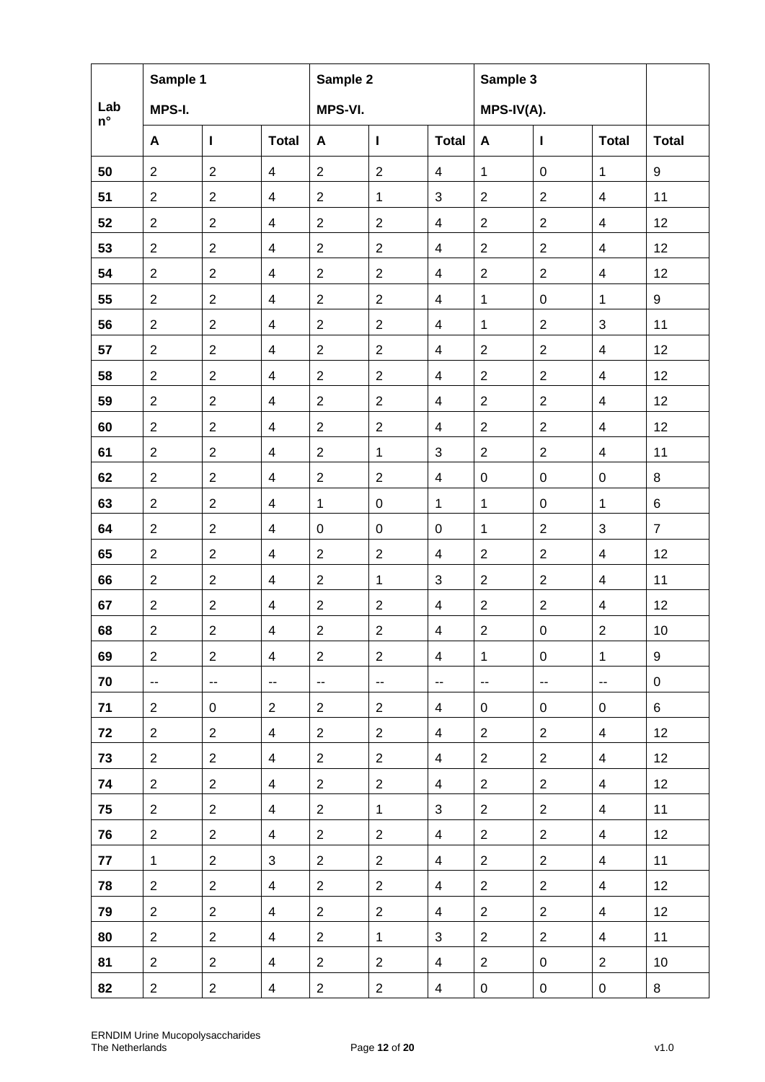|                    | Sample 1                 |                          |                          | Sample 2                 |                          |                          | Sample 3                 |                                               |                          |                |
|--------------------|--------------------------|--------------------------|--------------------------|--------------------------|--------------------------|--------------------------|--------------------------|-----------------------------------------------|--------------------------|----------------|
| Lab<br>$n^{\circ}$ | MPS-I.                   |                          |                          | MPS-VI.                  |                          |                          | MPS-IV(A).               |                                               |                          |                |
|                    | A                        | $\mathbf{I}$             | <b>Total</b>             | A                        | L                        | <b>Total</b>             | A                        | $\mathbf{I}$                                  | <b>Total</b>             | <b>Total</b>   |
| 50                 | $\overline{2}$           | $\sqrt{2}$               | $\overline{4}$           | $\sqrt{2}$               | $\overline{2}$           | $\overline{4}$           | $\mathbf{1}$             | $\mathbf 0$                                   | $\mathbf{1}$             | 9              |
| 51                 | $\overline{2}$           | $\overline{2}$           | $\overline{4}$           | $\overline{2}$           | $\mathbf{1}$             | $\sqrt{3}$               | $\overline{2}$           | $\overline{2}$                                | $\overline{4}$           | 11             |
| 52                 | $\overline{2}$           | $\overline{2}$           | $\overline{4}$           | $\overline{2}$           | $\overline{2}$           | $\overline{4}$           | $\overline{2}$           | $\overline{2}$                                | $\overline{4}$           | 12             |
| 53                 | $\overline{2}$           | $\overline{2}$           | $\overline{4}$           | $\overline{2}$           | $\overline{2}$           | $\overline{\mathbf{4}}$  | $\overline{2}$           | $\overline{2}$                                | $\overline{4}$           | 12             |
| 54                 | $\overline{2}$           | $\overline{2}$           | $\overline{4}$           | $\overline{2}$           | $\boldsymbol{2}$         | $\overline{\mathbf{4}}$  | $\overline{c}$           | $\overline{2}$                                | $\overline{\mathbf{4}}$  | 12             |
| 55                 | $\overline{2}$           | $\overline{2}$           | $\overline{4}$           | $\overline{2}$           | $\overline{2}$           | $\overline{4}$           | $\mathbf{1}$             | $\mathbf 0$                                   | $\mathbf{1}$             | 9              |
| 56                 | $\overline{2}$           | $\overline{2}$           | $\overline{4}$           | $\overline{2}$           | $\overline{2}$           | $\overline{\mathcal{A}}$ | $\mathbf{1}$             | $\overline{2}$                                | 3                        | 11             |
| 57                 | $\overline{2}$           | $\sqrt{2}$               | $\overline{4}$           | $\sqrt{2}$               | $\overline{2}$           | $\overline{\mathbf{4}}$  | $\overline{2}$           | $\sqrt{2}$                                    | $\overline{4}$           | 12             |
| 58                 | $\overline{2}$           | $\overline{2}$           | $\overline{4}$           | $\overline{2}$           | $\overline{2}$           | $\overline{\mathcal{A}}$ | $\overline{2}$           | $\overline{2}$                                | $\overline{4}$           | 12             |
| 59                 | $\overline{2}$           | $\overline{2}$           | $\overline{4}$           | $\overline{2}$           | $\overline{2}$           | $\overline{\mathcal{A}}$ | $\overline{2}$           | $\overline{2}$                                | $\overline{4}$           | 12             |
| 60                 | $\overline{c}$           | $\overline{2}$           | $\overline{4}$           | $\sqrt{2}$               | $\boldsymbol{2}$         | $\overline{\mathbf{4}}$  | $\overline{2}$           | $\overline{2}$                                | 4                        | 12             |
| 61                 | $\overline{2}$           | $\overline{2}$           | $\overline{4}$           | $\overline{2}$           | $\mathbf{1}$             | 3                        | $\overline{2}$           | $\overline{2}$                                | $\overline{4}$           | 11             |
| 62                 | $\overline{2}$           | $\overline{2}$           | $\overline{4}$           | $\overline{2}$           | $\overline{2}$           | $\overline{\mathbf{4}}$  | $\pmb{0}$                | $\pmb{0}$                                     | $\pmb{0}$                | 8              |
| 63                 | $\overline{2}$           | $\boldsymbol{2}$         | $\overline{4}$           | $\mathbf{1}$             | $\mathsf 0$              | $\mathbf{1}$             | $\mathbf{1}$             | $\mathsf 0$                                   | $\mathbf{1}$             | 6              |
| 64                 | $\overline{2}$           | $\sqrt{2}$               | $\overline{4}$           | $\mathbf 0$              | $\mathbf 0$              | $\mathbf 0$              | 1                        | $\overline{2}$                                | 3                        | $\overline{7}$ |
| 65                 | $\overline{2}$           | $\overline{2}$           | $\overline{4}$           | $\overline{2}$           | $\overline{2}$           | $\overline{\mathbf{4}}$  | $\overline{2}$           | $\sqrt{2}$                                    | $\overline{4}$           | 12             |
| 66                 | $\overline{2}$           | $\overline{2}$           | $\overline{4}$           | $\overline{2}$           | $\mathbf{1}$             | $\sqrt{3}$               | $\overline{2}$           | $\overline{2}$                                | $\overline{\mathbf{4}}$  | 11             |
| 67                 | $\overline{c}$           | $\sqrt{2}$               | $\overline{4}$           | $\sqrt{2}$               | $\overline{2}$           | $\overline{4}$           | $\overline{2}$           | $\sqrt{2}$                                    | $\overline{4}$           | 12             |
| 68                 | $\overline{2}$           | $\overline{c}$           | $\overline{4}$           | $\overline{2}$           | $\overline{2}$           | $\overline{\mathbf{4}}$  | $\overline{c}$           | $\pmb{0}$                                     | $\overline{2}$           | 10             |
| 69                 | $\overline{2}$           | $\overline{2}$           | $\overline{4}$           | $\overline{2}$           | $\overline{2}$           | 4                        | $\mathbf{1}$             | $\mathbf 0$                                   | $\mathbf{1}$             | 9              |
| 70                 | $\overline{\phantom{a}}$ | $\overline{\phantom{a}}$ | $\overline{\phantom{a}}$ | $\overline{\phantom{a}}$ | $\overline{\phantom{a}}$ | $\overline{\phantom{a}}$ | $\overline{\phantom{a}}$ | $\mathord{\hspace{1pt}\text{--}\hspace{1pt}}$ | $\overline{\phantom{a}}$ | $\mathbf 0$    |
| 71                 | $\overline{2}$           | $\mathbf 0$              | $\overline{2}$           | $\overline{2}$           | $\overline{2}$           | 4                        | 0                        | 0                                             | 0                        | 6              |
| 72                 | $\overline{2}$           | $\overline{2}$           | $\overline{4}$           | $\overline{2}$           | $\overline{2}$           | 4                        | $\overline{2}$           | 2                                             | $\overline{4}$           | 12             |
| 73                 | $\overline{2}$           | $\overline{2}$           | $\overline{4}$           | $\overline{2}$           | $\overline{2}$           | 4                        | $\overline{2}$           | 2                                             | 4                        | 12             |
| 74                 | $\overline{2}$           | $\overline{2}$           | $\overline{4}$           | $\overline{2}$           | $\overline{2}$           | 4                        | $\overline{2}$           | $\overline{2}$                                | $\overline{4}$           | 12             |
| 75                 | $\overline{2}$           | $\overline{2}$           | $\overline{4}$           | $\overline{2}$           | $\mathbf{1}$             | $\mathbf{3}$             | $\overline{2}$           | 2                                             | $\overline{4}$           | 11             |
| 76                 | $\overline{2}$           | $\overline{2}$           | $\overline{4}$           | $\overline{2}$           | $\overline{2}$           | $\overline{4}$           | $\mathbf{2}$             | 2                                             | 4                        | 12             |
| 77                 | $\mathbf{1}$             | $\overline{2}$           | 3                        | $\overline{2}$           | $\overline{2}$           | 4                        | $\overline{2}$           | $\overline{2}$                                | $\overline{4}$           | 11             |
| 78                 | $\overline{2}$           | $\overline{2}$           | $\overline{4}$           | $\overline{2}$           | $\overline{2}$           | $\overline{\mathbf{4}}$  | $\overline{2}$           | $\mathbf{2}$                                  | $\overline{4}$           | 12             |
| 79                 | $\overline{2}$           | $\overline{2}$           | $\overline{4}$           | $\overline{2}$           | $\overline{2}$           | $\overline{\mathbf{4}}$  | $\overline{2}$           | $\mathbf{2}$                                  | 4                        | 12             |
| 80                 | $\overline{2}$           | $\overline{2}$           | 4                        | $\overline{2}$           | $\mathbf{1}$             | 3                        | $\overline{2}$           | $\overline{2}$                                | $\overline{4}$           | 11             |
| 81                 | $\overline{2}$           | $\overline{2}$           | 4                        | $\overline{2}$           | $\overline{2}$           | 4                        | $\overline{2}$           | $\mathbf 0$                                   | $\overline{2}$           | 10             |
| 82                 | $\overline{2}$           | $\overline{2}$           | 4                        | $\overline{2}$           | $\overline{2}$           | $\overline{4}$           | $\mathbf 0$              | $\mathbf 0$                                   | 0                        | 8              |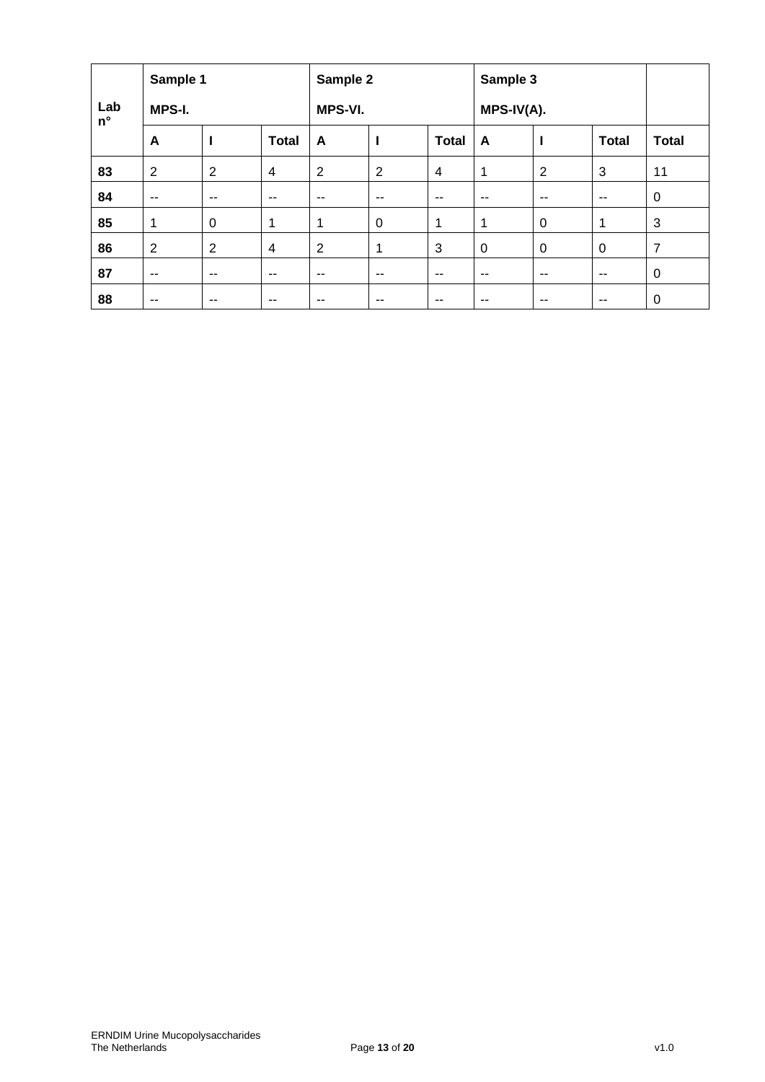|                    | Sample 1       |                |                |                | Sample 2       |               |              | Sample 3    |              |                |  |
|--------------------|----------------|----------------|----------------|----------------|----------------|---------------|--------------|-------------|--------------|----------------|--|
| Lab<br>$n^{\circ}$ | MPS-I.         |                |                | MPS-VI.        |                |               | $MPS-IV(A).$ |             |              |                |  |
|                    | A              |                | <b>Total</b>   | A              | ı              | <b>Total</b>  | A            | I           | <b>Total</b> | <b>Total</b>   |  |
| 83                 | $\overline{2}$ | $\overline{2}$ | 4              | $\overline{2}$ | $\overline{2}$ | 4             | 1            | 2           | 3            | 11             |  |
| 84                 | --             | $-$            | $-$            | $- -$          | $- -$          | --            | $-$          | $- -$       | $\sim$       | $\mathbf 0$    |  |
| 85                 | 1              | 0              | 1              | 1              | 0              | 1             | 1            | $\mathbf 0$ | 1            | 3              |  |
| 86                 | $\overline{2}$ | $\overline{2}$ | $\overline{4}$ | $\overline{2}$ | 1              | 3             | $\mathbf 0$  | 0           | 0            | $\overline{7}$ |  |
| 87                 | $-$            | $-$            | $- -$          | $- -$          | --             | $\sim$ $\sim$ | $- -$        | $- -$       | $-$          | $\mathbf 0$    |  |
| 88                 | --             | --             | $- -$          | $- -$          | --             | --            | $- -$        | $- -$       | $-$          | $\mathbf 0$    |  |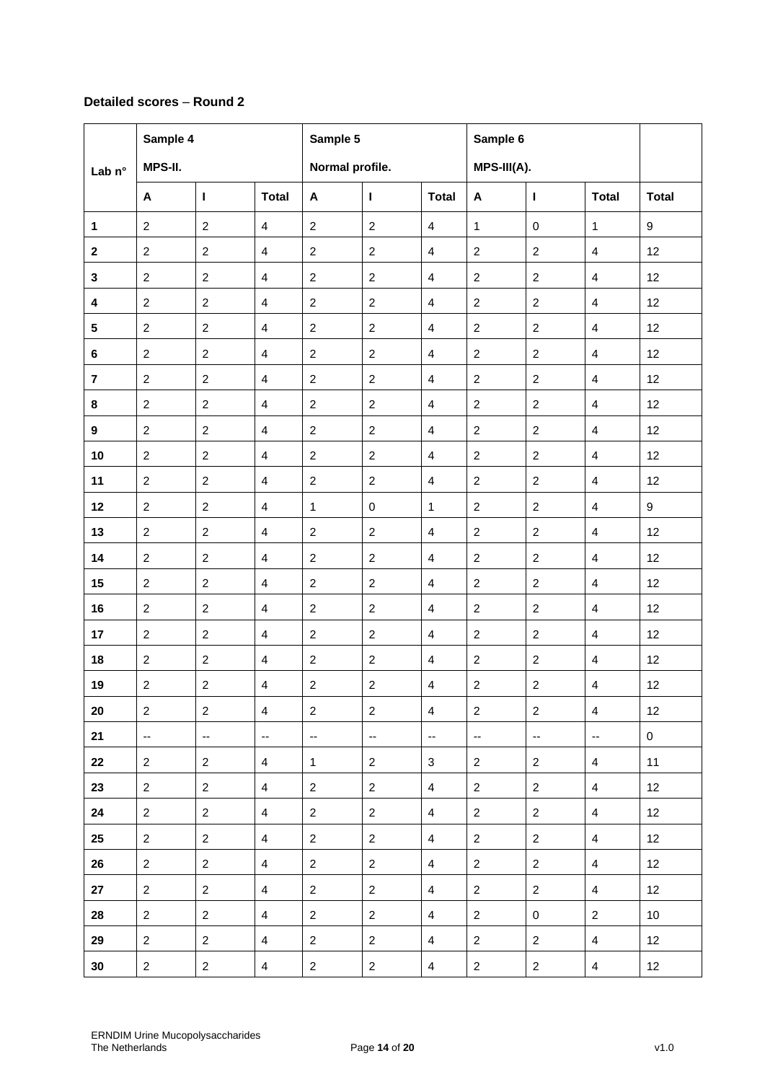# **Detailed scores** – **Round 2**

|                         | Sample 4                 |                          |                          | Sample 5                 |                          |                          | Sample 6       |                          |                          |                  |
|-------------------------|--------------------------|--------------------------|--------------------------|--------------------------|--------------------------|--------------------------|----------------|--------------------------|--------------------------|------------------|
| Lab <sub>n°</sub>       | MPS-II.                  |                          |                          | Normal profile.          |                          |                          | MPS-III(A).    |                          |                          |                  |
|                         | A                        | $\mathbf{I}$             | <b>Total</b>             | A                        | $\mathbf{I}$             | <b>Total</b>             | A              | I.                       | <b>Total</b>             | <b>Total</b>     |
| $\mathbf{1}$            | $\overline{2}$           | $\overline{c}$           | $\overline{4}$           | $\overline{2}$           | $\overline{c}$           | $\overline{4}$           | $\mathbf{1}$   | $\mathbf 0$              | $\mathbf{1}$             | $9\,$            |
| $\mathbf 2$             | $\mathbf{2}$             | $\overline{c}$           | $\overline{4}$           | $\overline{2}$           | $\overline{c}$           | $\overline{\mathbf{4}}$  | $\overline{2}$ | $\overline{2}$           | $\overline{4}$           | 12               |
| 3                       | $\overline{2}$           | $\overline{c}$           | $\overline{4}$           | $\overline{2}$           | $\overline{c}$           | 4                        | $\overline{c}$ | $\overline{2}$           | 4                        | 12               |
| $\overline{\mathbf{4}}$ | $\overline{2}$           | $\overline{2}$           | $\overline{4}$           | $\overline{2}$           | $\overline{2}$           | $\overline{4}$           | $\overline{2}$ | 2                        | $\overline{4}$           | 12               |
| 5                       | $\mathbf{2}$             | $\overline{2}$           | $\overline{4}$           | $\overline{2}$           | $\boldsymbol{2}$         | $\overline{\mathbf{4}}$  | $\overline{c}$ | $\overline{2}$           | $\overline{4}$           | 12               |
| 6                       | $\overline{2}$           | $\overline{c}$           | $\overline{4}$           | $\overline{2}$           | $\overline{c}$           | 4                        | $\overline{c}$ | 2                        | 4                        | 12               |
| $\bf 7$                 | $\overline{2}$           | $\overline{2}$           | $\overline{4}$           | $\overline{2}$           | $\overline{2}$           | $\overline{4}$           | $\overline{2}$ | $\overline{2}$           | $\overline{4}$           | 12               |
| 8                       | $\overline{c}$           | $\overline{c}$           | $\overline{4}$           | $\overline{c}$           | $\overline{c}$           | $\overline{\mathbf{4}}$  | $\overline{c}$ | $\sqrt{2}$               | $\overline{4}$           | 12               |
| $\boldsymbol{9}$        | $\overline{2}$           | $\overline{c}$           | $\overline{4}$           | $\overline{2}$           | $\overline{c}$           | $\overline{4}$           | $\overline{2}$ | 2                        | 4                        | 12               |
| 10                      | $\overline{2}$           | $\overline{c}$           | $\overline{4}$           | $\overline{2}$           | $\overline{2}$           | $\overline{4}$           | $\overline{2}$ | $\overline{2}$           | $\overline{4}$           | 12               |
| 11                      | $\overline{c}$           | $\overline{c}$           | $\overline{4}$           | $\overline{c}$           | $\overline{c}$           | $\overline{\mathbf{4}}$  | $\overline{a}$ | $\sqrt{2}$               | $\overline{4}$           | 12               |
| 12                      | $\overline{2}$           | $\overline{c}$           | $\overline{4}$           | $\mathbf{1}$             | $\pmb{0}$                | $\mathbf{1}$             | $\overline{c}$ | $\sqrt{2}$               | $\overline{4}$           | $\boldsymbol{9}$ |
| 13                      | $\overline{2}$           | $\overline{2}$           | $\overline{4}$           | $\overline{2}$           | $\overline{2}$           | $\overline{4}$           | $\overline{2}$ | $\overline{2}$           | $\overline{4}$           | 12               |
| 14                      | $\overline{c}$           | $\overline{2}$           | $\overline{\mathbf{4}}$  | $\overline{2}$           | $\overline{c}$           | $\overline{\mathbf{4}}$  | $\overline{a}$ | $\overline{2}$           | $\overline{\mathbf{4}}$  | 12               |
| 15                      | $\overline{2}$           | $\overline{c}$           | $\overline{4}$           | $\overline{2}$           | $\overline{c}$           | $\overline{4}$           | $\overline{2}$ | $\sqrt{2}$               | $\overline{4}$           | 12               |
| 16                      | $\overline{2}$           | $\overline{c}$           | $\overline{4}$           | $\overline{2}$           | $\overline{2}$           | 4                        | $\overline{c}$ | $\overline{2}$           | $\overline{4}$           | 12               |
| 17                      | $\overline{2}$           | $\overline{2}$           | $\overline{4}$           | $\overline{2}$           | $\overline{2}$           | 4                        | $\overline{2}$ | 2                        | $\overline{4}$           | 12               |
| 18                      | $\mathbf{2}$             | $\boldsymbol{2}$         | $\overline{4}$           | $\sqrt{2}$               | $\boldsymbol{2}$         | $\overline{4}$           | $\overline{c}$ | $\overline{2}$           | $\overline{4}$           | 12               |
| 19                      | $\overline{2}$           | $\overline{c}$           | $\overline{4}$           | $\overline{c}$           | $\boldsymbol{2}$         | $\overline{\mathbf{4}}$  | $\overline{c}$ | 2                        | $\overline{\mathbf{4}}$  | 12               |
| 20                      | $\overline{2}$           | $\overline{c}$           | $\overline{4}$           | $\overline{2}$           | $\overline{2}$           | $\overline{4}$           | $\overline{2}$ | 2                        | $\overline{4}$           | 12               |
| 21                      | $\overline{\phantom{a}}$ | $\overline{\phantom{a}}$ | $\overline{\phantom{a}}$ | $\overline{\phantom{a}}$ | $\overline{\phantom{a}}$ | $\overline{\phantom{a}}$ | ۰.             | $\overline{\phantom{a}}$ | $\overline{\phantom{a}}$ | $\mathbf 0$      |
| 22                      | $\overline{2}$           | $\overline{2}$           | $\overline{4}$           | $\mathbf{1}$             | $\overline{2}$           | 3                        | $\overline{2}$ | $\overline{2}$           | $\overline{4}$           | 11               |
| 23                      | $\overline{2}$           | $\overline{2}$           | $\overline{4}$           | $\overline{2}$           | $\overline{2}$           | $\overline{4}$           | $\overline{2}$ | $\overline{2}$           | $\overline{4}$           | 12               |
| 24                      | $\overline{2}$           | $\overline{2}$           | $\overline{4}$           | $\overline{2}$           | $\overline{2}$           | $\overline{4}$           | $\overline{2}$ | $\overline{2}$           | $\overline{4}$           | 12               |
| 25                      | $\overline{2}$           | $\overline{2}$           | $\overline{4}$           | $\overline{2}$           | $\overline{2}$           | $\overline{4}$           | $\overline{2}$ | 2                        | $\overline{4}$           | 12               |
| 26                      | $\overline{2}$           | $\overline{2}$           | $\overline{4}$           | $\overline{2}$           | $\overline{2}$           | $\overline{4}$           | $\overline{2}$ | $\overline{2}$           | $\overline{4}$           | 12               |
| 27                      | $\overline{2}$           | $\overline{2}$           | $\overline{4}$           | $\overline{2}$           | $\overline{2}$           | $\overline{4}$           | $\overline{2}$ | $\overline{2}$           | $\overline{4}$           | 12               |
| 28                      | $\overline{2}$           | $\overline{2}$           | $\overline{4}$           | $\overline{2}$           | $\overline{2}$           | $\overline{4}$           | $\overline{2}$ | $\mathbf 0$              | $\overline{2}$           | 10               |
| 29                      | $\overline{2}$           | $\overline{2}$           | $\overline{4}$           | $\overline{2}$           | $\overline{2}$           | $\overline{4}$           | $\overline{2}$ | $\overline{2}$           | $\overline{4}$           | 12               |
| 30                      | $\overline{2}$           | $\overline{2}$           | $\overline{4}$           | $\overline{2}$           | $\overline{2}$           | $\overline{4}$           | $\overline{a}$ | $\overline{2}$           | $\overline{4}$           | 12               |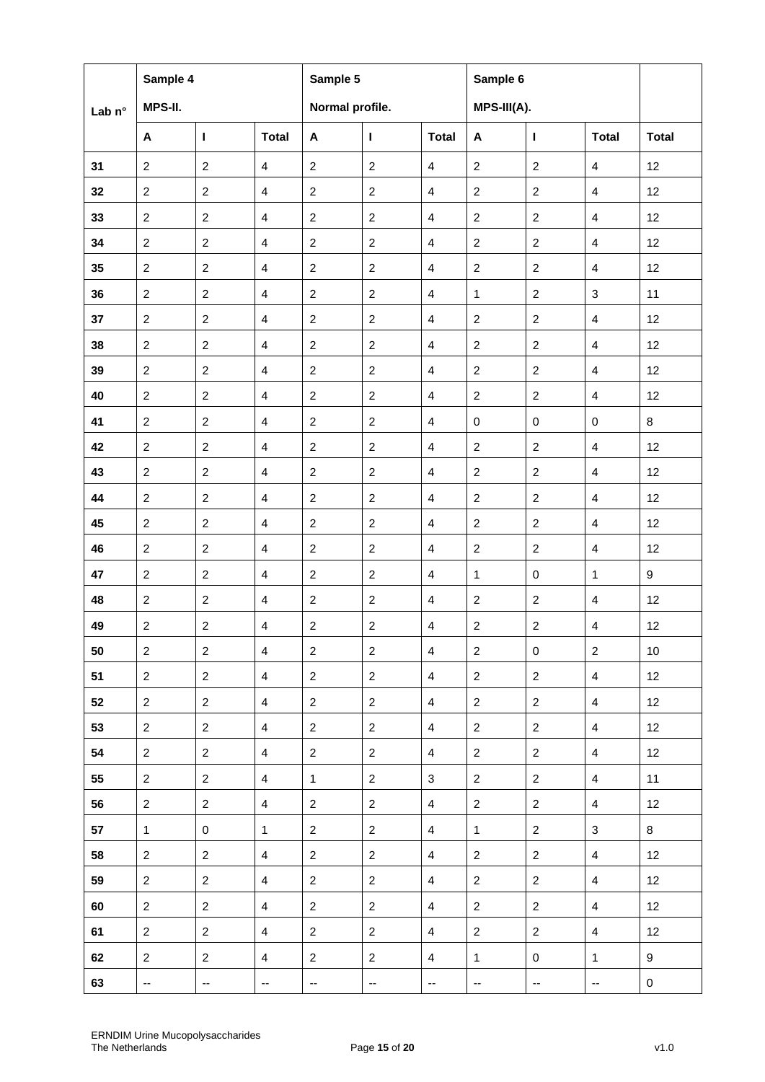|        | Sample 4       |                          |                         | Sample 5                                      |                          |                         | Sample 6       |                          |                |                  |
|--------|----------------|--------------------------|-------------------------|-----------------------------------------------|--------------------------|-------------------------|----------------|--------------------------|----------------|------------------|
| Lab n° | MPS-II.        |                          |                         | Normal profile.                               |                          |                         | MPS-III(A).    |                          |                |                  |
|        | A              | $\mathbf{I}$             | <b>Total</b>            | $\boldsymbol{\mathsf{A}}$                     | п                        | <b>Total</b>            | A              | $\mathbf{I}$             | <b>Total</b>   | <b>Total</b>     |
| 31     | $\overline{2}$ | $\overline{2}$           | $\overline{4}$          | $\overline{2}$                                | $\overline{c}$           | $\overline{4}$          | $\overline{2}$ | $\overline{2}$           | $\overline{4}$ | 12               |
| 32     | $\overline{c}$ | $\boldsymbol{2}$         | $\overline{\mathbf{4}}$ | $\overline{2}$                                | $\overline{c}$           | $\overline{\mathbf{4}}$ | $\overline{2}$ | $\boldsymbol{2}$         | $\overline{4}$ | 12               |
| 33     | $\mathbf{2}$   | $\boldsymbol{2}$         | $\overline{4}$          | $\overline{2}$                                | $\boldsymbol{2}$         | $\overline{4}$          | $\overline{2}$ | $\overline{2}$           | $\overline{4}$ | 12               |
| 34     | $\overline{2}$ | 2                        | $\overline{4}$          | 2                                             | $\overline{c}$           | 4                       | $\overline{2}$ | 2                        | $\overline{4}$ | 12               |
| 35     | $\overline{2}$ | $\overline{2}$           | $\overline{4}$          | $\overline{2}$                                | $\overline{c}$           | $\overline{4}$          | $\overline{2}$ | $\overline{c}$           | $\overline{4}$ | 12               |
| 36     | $\overline{2}$ | $\overline{2}$           | $\overline{4}$          | 2                                             | $\boldsymbol{2}$         | $\overline{4}$          | 1              | $\overline{2}$           | $\mathbf{3}$   | 11               |
| 37     | $\overline{2}$ | $\overline{2}$           | 4                       | $\overline{2}$                                | $\overline{c}$           | 4                       | $\overline{c}$ | 2                        | 4              | 12               |
| 38     | $\overline{2}$ | $\overline{c}$           | $\overline{4}$          | $\overline{2}$                                | $\overline{c}$           | $\overline{4}$          | $\overline{2}$ | $\overline{2}$           | $\overline{4}$ | 12               |
| 39     | $\overline{2}$ | $\boldsymbol{2}$         | $\overline{4}$          | $\boldsymbol{2}$                              | $\boldsymbol{2}$         | $\overline{4}$          | $\overline{2}$ | $\overline{2}$           | $\overline{4}$ | 12               |
| 40     | $\overline{2}$ | $\overline{2}$           | $\overline{4}$          | $\overline{2}$                                | $\overline{c}$           | $\overline{4}$          | $\overline{c}$ | $\overline{2}$           | 4              | 12               |
| 41     | $\overline{2}$ | $\overline{2}$           | $\overline{4}$          | $\overline{2}$                                | $\overline{c}$           | $\overline{4}$          | $\mathbf 0$    | $\pmb{0}$                | $\mathbf 0$    | 8                |
| 42     | $\overline{c}$ | $\boldsymbol{2}$         | $\overline{4}$          | $\boldsymbol{2}$                              | $\boldsymbol{2}$         | $\overline{\mathbf{4}}$ | $\overline{2}$ | $\boldsymbol{2}$         | $\overline{4}$ | 12               |
| 43     | $\overline{2}$ | $\overline{c}$           | $\overline{4}$          | $\overline{2}$                                | $\overline{c}$           | $\overline{4}$          | $\overline{2}$ | $\overline{2}$           | 4              | 12               |
| 44     | $\overline{2}$ | $\overline{2}$           | $\overline{4}$          | $\overline{2}$                                | $\overline{c}$           | $\overline{4}$          | $\overline{2}$ | $\overline{2}$           | $\overline{4}$ | 12               |
| 45     | $\overline{2}$ | $\overline{2}$           | $\overline{4}$          | $\overline{2}$                                | $\boldsymbol{2}$         | 4                       | $\overline{2}$ | $\overline{2}$           | $\overline{4}$ | 12               |
| 46     | $\overline{c}$ | $\boldsymbol{2}$         | $\overline{4}$          | $\overline{2}$                                | $\overline{c}$           | $\overline{4}$          | $\overline{2}$ | $\overline{2}$           | $\overline{4}$ | 12               |
| 47     | $\overline{2}$ | 2                        | $\overline{4}$          | 2                                             | $\overline{c}$           | 4                       | $\mathbf{1}$   | $\mathbf 0$              | 1              | $\boldsymbol{9}$ |
| 48     | $\overline{c}$ | $\overline{c}$           | $\overline{4}$          | $\overline{2}$                                | $\overline{c}$           | $\overline{4}$          | $\overline{2}$ | $\overline{c}$           | $\overline{4}$ | 12               |
| 49     | $\overline{c}$ | $\boldsymbol{2}$         | $\overline{4}$          | $\overline{2}$                                | $\boldsymbol{2}$         | $\overline{4}$          | $\overline{c}$ | $\overline{2}$           | $\overline{4}$ | 12               |
| 50     | $\mathbf{2}$   | 2                        | $\overline{4}$          | $\overline{2}$                                | $\overline{2}$           | 4                       | $\overline{2}$ | $\pmb{0}$                | $\overline{c}$ | 10               |
| 51     | $\overline{2}$ | $\overline{2}$           | $\overline{4}$          | $\overline{2}$                                | $\overline{2}$           | $\overline{4}$          | $\overline{2}$ | $\overline{2}$           | $\overline{4}$ | 12               |
| 52     | $\overline{2}$ | 2                        | $\overline{4}$          | $\overline{2}$                                | $\overline{a}$           | $\overline{4}$          | $\overline{2}$ | $\overline{2}$           | $\overline{4}$ | 12               |
| 53     | $\overline{2}$ | $\overline{2}$           | $\overline{4}$          | $\overline{2}$                                | $\overline{2}$           | $\overline{4}$          | $\overline{2}$ | $\overline{2}$           | $\overline{4}$ | 12               |
| 54     | $\overline{2}$ | $\overline{2}$           | $\overline{4}$          | $\overline{2}$                                | $\overline{2}$           | $\overline{4}$          | $2^{\circ}$    | $\overline{2}$           | $\overline{4}$ | 12               |
| 55     | $\overline{2}$ | 2                        | $\overline{4}$          | $\mathbf 1$                                   | $\overline{a}$           | 3                       | $\overline{2}$ | $\overline{2}$           | $\overline{4}$ | 11               |
| 56     | $\overline{2}$ | $\overline{2}$           | $\overline{4}$          | $\overline{2}$                                | $\overline{2}$           | $\overline{4}$          | $\overline{2}$ | $\overline{2}$           | $\overline{4}$ | 12               |
| 57     | $\mathbf{1}$   | $\mathbf 0$              | $\mathbf{1}$            | $\overline{2}$                                | $\overline{a}$           | $\overline{4}$          | $\mathbf{1}$   | $\overline{2}$           | 3              | 8                |
| 58     | $\overline{2}$ | $\overline{2}$           | $\overline{4}$          | $\overline{2}$                                | $\overline{a}$           | 4                       | $\overline{2}$ | $\overline{2}$           | $\overline{4}$ | 12               |
| 59     | $\overline{2}$ | $\overline{2}$           | $\overline{4}$          | $\overline{2}$                                | $\overline{a}$           | $\overline{4}$          | $\overline{2}$ | $\overline{2}$           | $\overline{4}$ | 12               |
| 60     | $\overline{2}$ | $\overline{2}$           | $\overline{4}$          | $\overline{2}$                                | $\overline{2}$           | $\overline{4}$          | $\overline{2}$ | $\overline{2}$           | $\overline{4}$ | 12               |
| 61     | $\overline{2}$ | 2                        | $\overline{4}$          | $\overline{2}$                                | $\overline{a}$           | 4                       | $\overline{2}$ | $\overline{2}$           | $\overline{4}$ | 12               |
| 62     | $\overline{2}$ | $\overline{2}$           | $\overline{4}$          | $\overline{2}$                                | $\overline{a}$           | $\overline{4}$          | $\mathbf{1}$   | $\mathbf 0$              | $\mathbf{1}$   | 9                |
| 63     | $\rightarrow$  | $\overline{\phantom{a}}$ | $\sim$                  | $\mathord{\hspace{1pt}\text{--}\hspace{1pt}}$ | $\overline{\phantom{a}}$ | --                      | ۰.             | $\overline{\phantom{a}}$ | $\sim$         | $\pmb{0}$        |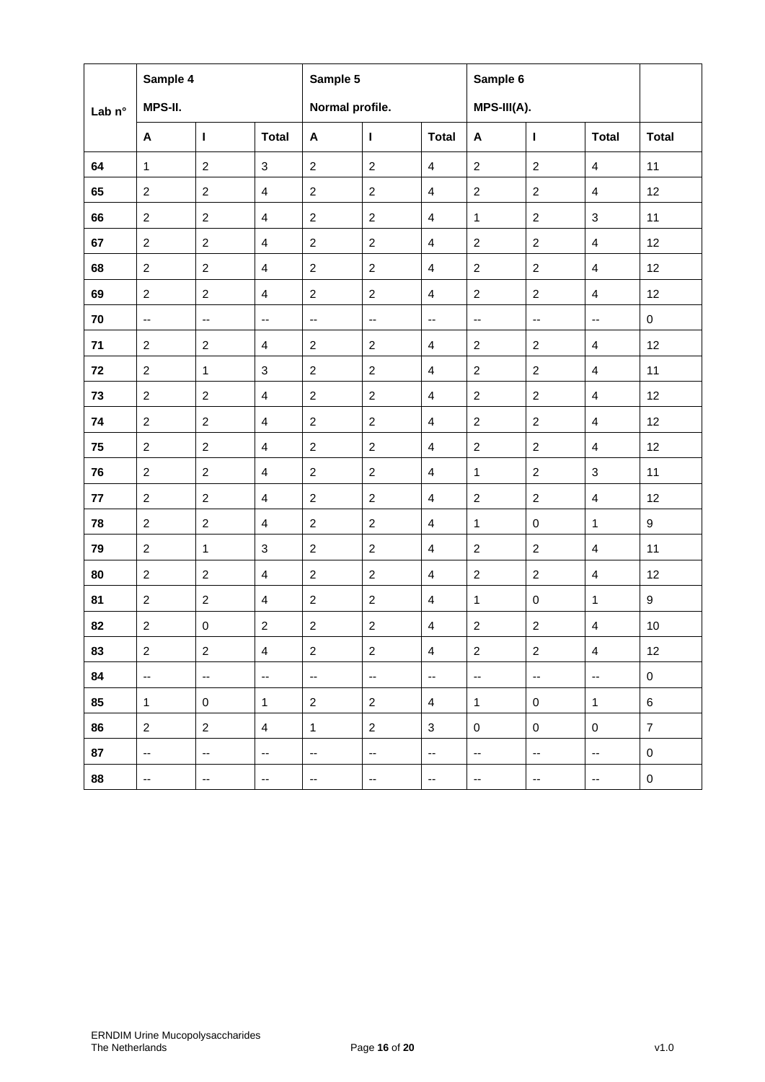|        | Sample 4                    |                             |                             | Sample 5                 |                          |                          | Sample 6                 |                          |                          |                  |
|--------|-----------------------------|-----------------------------|-----------------------------|--------------------------|--------------------------|--------------------------|--------------------------|--------------------------|--------------------------|------------------|
| Lab n° | MPS-II.                     |                             |                             | Normal profile.          |                          |                          | MPS-III(A).              |                          |                          |                  |
|        | A                           | T                           | <b>Total</b>                | A                        | Т                        | <b>Total</b>             | A                        | $\mathbf{I}$             | <b>Total</b>             | <b>Total</b>     |
| 64     | $\mathbf{1}$                | $\overline{c}$              | 3                           | $\overline{2}$           | $\overline{2}$           | $\overline{4}$           | $\overline{2}$           | $\overline{2}$           | $\overline{4}$           | 11               |
| 65     | $\overline{2}$              | $\overline{2}$              | $\overline{4}$              | $\overline{2}$           | $\overline{2}$           | $\overline{\mathbf{4}}$  | $\overline{2}$           | $\overline{2}$           | $\overline{4}$           | 12               |
| 66     | 2                           | $\boldsymbol{2}$            | $\overline{4}$              | $\overline{2}$           | $\overline{2}$           | $\overline{4}$           | $\mathbf{1}$             | $\overline{2}$           | 3                        | 11               |
| 67     | $\overline{2}$              | $\overline{2}$              | $\overline{4}$              | $\mathbf{2}$             | $\overline{2}$           | 4                        | $\overline{c}$           | $\overline{2}$           | $\overline{4}$           | 12               |
| 68     | $\overline{2}$              | $\overline{2}$              | $\overline{\mathbf{4}}$     | $\overline{2}$           | $\overline{c}$           | $\overline{\mathbf{4}}$  | $\overline{2}$           | $\overline{2}$           | $\overline{\mathbf{4}}$  | 12               |
| 69     | 2                           | $\overline{c}$              | $\overline{4}$              | $\overline{2}$           | $\overline{c}$           | $\overline{4}$           | $\overline{2}$           | $\overline{2}$           | $\overline{4}$           | 12               |
| 70     | $\overline{\phantom{a}}$    | $\overline{\phantom{a}}$    | $\mathcal{L}_{\mathcal{F}}$ | $\overline{\phantom{a}}$ | $\overline{\phantom{a}}$ | $\overline{\phantom{a}}$ | $\overline{\phantom{a}}$ | $\overline{\phantom{a}}$ | $\overline{\phantom{a}}$ | $\mathbf 0$      |
| 71     | 2                           | $\overline{2}$              | $\overline{4}$              | $\overline{2}$           | $\overline{2}$           | 4                        | $\overline{2}$           | $\overline{2}$           | 4                        | 12               |
| 72     | $\boldsymbol{2}$            | $\mathbf{1}$                | $\mathbf{3}$                | $\overline{2}$           | $\overline{2}$           | $\overline{\mathbf{4}}$  | $\overline{2}$           | $\overline{c}$           | $\overline{\mathbf{4}}$  | 11               |
| 73     | $\overline{2}$              | $\boldsymbol{2}$            | $\overline{4}$              | $\overline{2}$           | $\overline{c}$           | 4                        | $\overline{c}$           | $\overline{2}$           | 4                        | 12               |
| 74     | 2                           | $\overline{c}$              | $\overline{4}$              | $\overline{c}$           | $\overline{c}$           | $\overline{\mathbf{4}}$  | $\overline{2}$           | $\overline{2}$           | $\overline{4}$           | 12               |
| 75     | $\overline{2}$              | $\overline{c}$              | $\overline{4}$              | $\overline{2}$           | $\boldsymbol{2}$         | $\overline{\mathbf{4}}$  | $\overline{2}$           | $\overline{2}$           | $\overline{4}$           | 12               |
| 76     | $\overline{2}$              | $\boldsymbol{2}$            | $\overline{4}$              | $\overline{c}$           | $\boldsymbol{2}$         | $\overline{\mathbf{4}}$  | 1                        | $\sqrt{2}$               | $\sqrt{3}$               | 11               |
| 77     | 2                           | $\overline{c}$              | $\overline{4}$              | $\overline{2}$           | $\overline{2}$           | $\overline{4}$           | $\overline{c}$           | $\overline{2}$           | 4                        | 12               |
| 78     | $\overline{2}$              | $\overline{2}$              | $\overline{4}$              | $\overline{2}$           | $\overline{2}$           | $\overline{\mathbf{4}}$  | $\mathbf{1}$             | $\pmb{0}$                | $\mathbf{1}$             | $\boldsymbol{9}$ |
| 79     | $\boldsymbol{2}$            | $\mathbf{1}$                | $\mathbf{3}$                | $\mathbf{2}$             | $\overline{2}$           | $\overline{\mathbf{4}}$  | $\overline{2}$           | $\overline{2}$           | $\overline{4}$           | 11               |
| 80     | $\overline{2}$              | $\boldsymbol{2}$            | $\overline{\mathbf{4}}$     | $\overline{2}$           | $\boldsymbol{2}$         | 4                        | $\overline{c}$           | 2                        | $\overline{\mathbf{4}}$  | 12               |
| 81     | 2                           | $\overline{2}$              | $\overline{4}$              | $\overline{2}$           | $\overline{2}$           | 4                        | $\mathbf{1}$             | $\pmb{0}$                | $\mathbf{1}$             | 9                |
| 82     | $\overline{2}$              | $\pmb{0}$                   | $\boldsymbol{2}$            | $\mathbf{2}$             | $\boldsymbol{2}$         | $\overline{\mathbf{4}}$  | $\overline{c}$           | $\overline{2}$           | $\overline{\mathbf{4}}$  | 10               |
| 83     | $\sqrt{2}$                  | $\boldsymbol{2}$            | $\overline{4}$              | $\overline{2}$           | $\sqrt{2}$               | 4                        | $\overline{2}$           | $\overline{c}$           | 4                        | 12               |
| 84     | $\overline{\phantom{a}}$    | $\overline{\phantom{a}}$    | $\overline{\phantom{a}}$    | $\overline{\phantom{a}}$ | $\overline{\phantom{a}}$ | $\overline{\phantom{a}}$ | $\overline{\phantom{a}}$ | $\overline{\phantom{a}}$ | $\overline{\phantom{a}}$ | $\pmb{0}$        |
| 85     | $\mathbf{1}$                | $\mathsf 0$                 | $\mathbf{1}$                | $\overline{2}$           | $\overline{c}$           | $\overline{4}$           | $\mathbf{1}$             | $\mathbf 0$              | $\mathbf{1}$             | 6                |
| 86     | $\overline{2}$              | $\mathbf{2}$                | $\overline{4}$              | $\mathbf{1}$             | $\overline{2}$           | 3                        | 0                        | 0                        | 0                        | $\overline{7}$   |
| 87     | $\mathcal{L}_{\mathcal{F}}$ | $\mathcal{L}_{\mathcal{F}}$ | $\overline{\phantom{a}}$    | $\overline{\phantom{a}}$ | $\overline{\phantom{a}}$ | $\overline{\phantom{a}}$ | $\overline{\phantom{a}}$ | $\overline{\phantom{a}}$ | $\overline{\phantom{a}}$ | 0                |
| 88     | $\overline{\phantom{a}}$    | $\overline{\phantom{a}}$    | $\overline{\phantom{a}}$    | $\overline{\phantom{a}}$ | $\overline{\phantom{a}}$ | --                       | --                       | $\overline{\phantom{a}}$ | $\overline{\phantom{a}}$ | $\,0\,$          |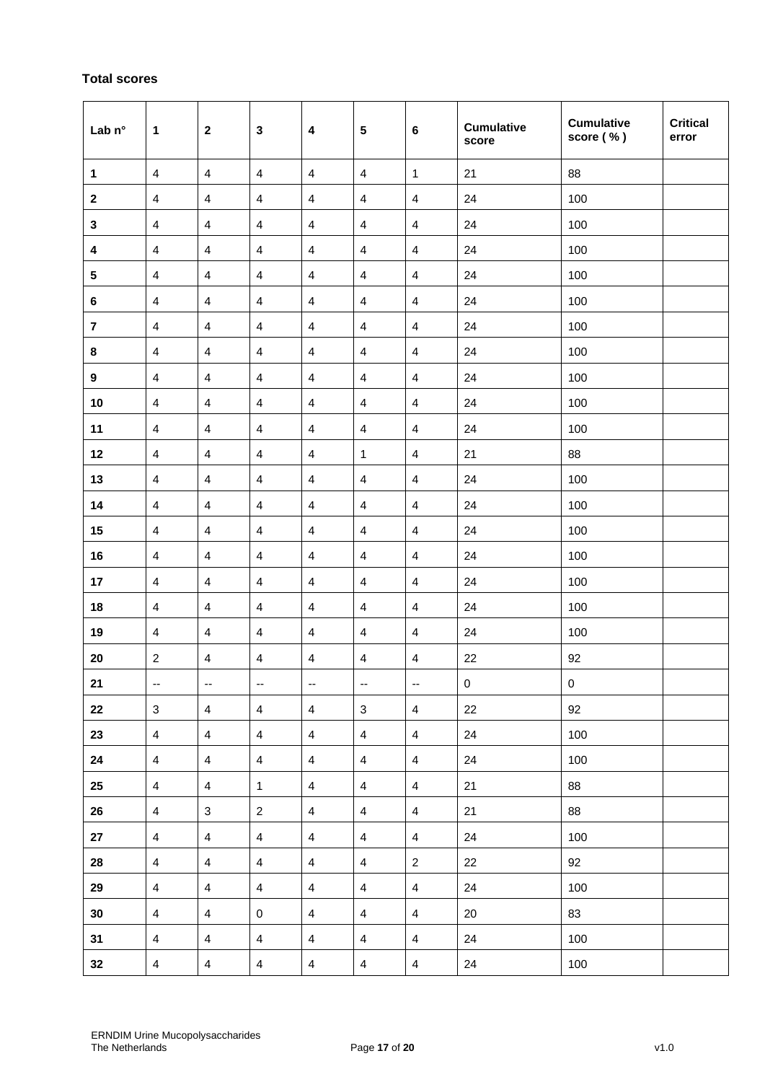# **Total scores**

| Lab $n^{\circ}$         | 1                       | $\mathbf{2}$             | $\mathbf{3}$             | $\overline{\mathbf{4}}$ | $5\phantom{1}$          | $6\phantom{1}6$          | <b>Cumulative</b><br>score | <b>Cumulative</b><br>score (%) | <b>Critical</b><br>error |
|-------------------------|-------------------------|--------------------------|--------------------------|-------------------------|-------------------------|--------------------------|----------------------------|--------------------------------|--------------------------|
| $\mathbf{1}$            | $\overline{4}$          | $\overline{4}$           | $\overline{\mathbf{4}}$  | $\overline{\mathbf{4}}$ | $\overline{4}$          | $\mathbf{1}$             | 21                         | 88                             |                          |
| $\boldsymbol{2}$        | $\overline{4}$          | $\overline{\mathbf{4}}$  | $\overline{\mathbf{4}}$  | 4                       | 4                       | $\overline{4}$           | 24                         | 100                            |                          |
| $\mathbf 3$             | $\overline{\mathbf{4}}$ | $\overline{4}$           | $\overline{\mathbf{4}}$  | 4                       | 4                       | 4                        | 24                         | 100                            |                          |
| 4                       | $\overline{\mathbf{4}}$ | $\overline{4}$           | $\overline{\mathbf{4}}$  | 4                       | 4                       | 4                        | 24                         | 100                            |                          |
| ${\bf 5}$               | $\overline{\mathbf{4}}$ | $\overline{4}$           | $\overline{\mathbf{4}}$  | 4                       | $\overline{\mathbf{4}}$ | $\overline{4}$           | 24                         | 100                            |                          |
| 6                       | $\overline{\mathbf{4}}$ | $\overline{4}$           | $\overline{\mathbf{4}}$  | 4                       | 4                       | $\overline{\mathbf{4}}$  | 24                         | 100                            |                          |
| $\overline{\mathbf{7}}$ | $\overline{\mathbf{4}}$ | $\overline{\mathbf{4}}$  | $\overline{\mathbf{4}}$  | 4                       | 4                       | 4                        | 24                         | 100                            |                          |
| 8                       | 4                       | 4                        | $\overline{\mathbf{4}}$  | 4                       | 4                       | 4                        | 24                         | 100                            |                          |
| $\boldsymbol{9}$        | $\overline{4}$          | $\overline{\mathbf{4}}$  | $\overline{\mathbf{4}}$  | $\overline{\mathbf{4}}$ | $\overline{\mathbf{4}}$ | $\overline{4}$           | 24                         | 100                            |                          |
| 10                      | $\overline{\mathbf{4}}$ | $\overline{\mathbf{4}}$  | $\overline{\mathbf{4}}$  | 4                       | 4                       | $\overline{\mathbf{4}}$  | 24                         | 100                            |                          |
| 11                      | $\overline{\mathbf{4}}$ | 4                        | $\overline{\mathbf{4}}$  | 4                       | $\overline{\mathbf{4}}$ | $\overline{4}$           | 24                         | 100                            |                          |
| 12                      | $\overline{4}$          | $\overline{\mathbf{4}}$  | $\overline{\mathbf{4}}$  | $\overline{\mathbf{4}}$ | 1                       | $\overline{\mathbf{4}}$  | 21                         | 88                             |                          |
| 13                      | $\overline{\mathbf{4}}$ | $\overline{4}$           | $\overline{\mathbf{4}}$  | $\overline{4}$          | $\overline{4}$          | $\overline{\mathbf{4}}$  | 24                         | 100                            |                          |
| 14                      | $\overline{\mathbf{4}}$ | $\overline{\mathbf{4}}$  | $\overline{\mathbf{4}}$  | 4                       | 4                       | $\overline{\mathbf{4}}$  | 24                         | 100                            |                          |
| 15                      | $\overline{4}$          | $\overline{\mathbf{4}}$  | $\overline{\mathbf{4}}$  | $\overline{4}$          | $\overline{4}$          | $\overline{\mathbf{4}}$  | 24                         | 100                            |                          |
| 16                      | $\overline{\mathbf{4}}$ | $\overline{4}$           | $\overline{\mathbf{4}}$  | $\overline{\mathbf{4}}$ | $\overline{4}$          | $\overline{\mathbf{4}}$  | 24                         | 100                            |                          |
| 17                      | $\overline{\mathbf{4}}$ | 4                        | $\overline{\mathbf{4}}$  | 4                       | $\overline{4}$          | $\overline{4}$           | 24                         | 100                            |                          |
| 18                      | 4                       | $\overline{4}$           | $\overline{\mathbf{4}}$  | 4                       | 4                       | $\overline{\mathbf{4}}$  | 24                         | 100                            |                          |
| 19                      | $\overline{\mathbf{4}}$ | $\overline{4}$           | $\overline{\mathbf{4}}$  | 4                       | 4                       | $\overline{\mathbf{4}}$  | 24                         | 100                            |                          |
| 20                      | $\boldsymbol{2}$        | $\overline{4}$           | $\overline{\mathbf{4}}$  | 4                       | 4                       | 4                        | 22                         | 92                             |                          |
| 21                      | $\mathbb{H}^2$          | $\overline{\phantom{a}}$ | $\overline{\phantom{a}}$ | $\mathbb{H}^2$          | $\mathbb{H}^2$          | $\overline{\phantom{a}}$ | $\mathbf 0$                | $\mathbf 0$                    |                          |
| 22                      | $\mathbf{3}$            | $\overline{4}$           | $\overline{4}$           | $\overline{4}$          | $\mathbf{3}$            | $\overline{4}$           | 22                         | 92                             |                          |
| 23                      | $\overline{4}$          | $\overline{4}$           | $\overline{4}$           | $\overline{4}$          | $\overline{4}$          | $\overline{4}$           | 24                         | 100                            |                          |
| 24                      | $\overline{4}$          | $\overline{4}$           | $\overline{4}$           | $\overline{4}$          | $\overline{4}$          | $\overline{4}$           | 24                         | 100                            |                          |
| $25\phantom{.0}$        | $\overline{4}$          | $\overline{4}$           | $\mathbf{1}$             | $\overline{4}$          | $\overline{4}$          | $\overline{4}$           | 21                         | 88                             |                          |
| 26                      | $\overline{4}$          | $\mathbf{3}$             | $\overline{2}$           | $\overline{4}$          | $\overline{4}$          | $\overline{4}$           | 21                         | 88                             |                          |
| 27                      | $\overline{4}$          | $\overline{4}$           | $\overline{4}$           | $\overline{4}$          | $\overline{4}$          | $\overline{4}$           | 24                         | 100                            |                          |
| 28                      | $\overline{4}$          | $\overline{4}$           | $\overline{4}$           | $\overline{4}$          | $\overline{4}$          | $\overline{2}$           | 22                         | 92                             |                          |
| 29                      | $\overline{4}$          | $\overline{4}$           | $\overline{4}$           | $\overline{4}$          | $\overline{4}$          | $\overline{4}$           | 24                         | 100                            |                          |
| 30                      | $\overline{4}$          | $\overline{4}$           | 0                        | $\overline{4}$          | $\overline{4}$          | $\overline{4}$           | 20                         | 83                             |                          |
| 31                      | $\overline{4}$          | $\overline{4}$           | $\overline{4}$           | $\overline{4}$          | $\overline{4}$          | $\overline{4}$           | 24                         | 100                            |                          |
| 32                      | $\overline{4}$          | $\overline{4}$           | $\overline{4}$           | $\overline{4}$          | $\overline{4}$          | $\overline{4}$           | 24                         | 100                            |                          |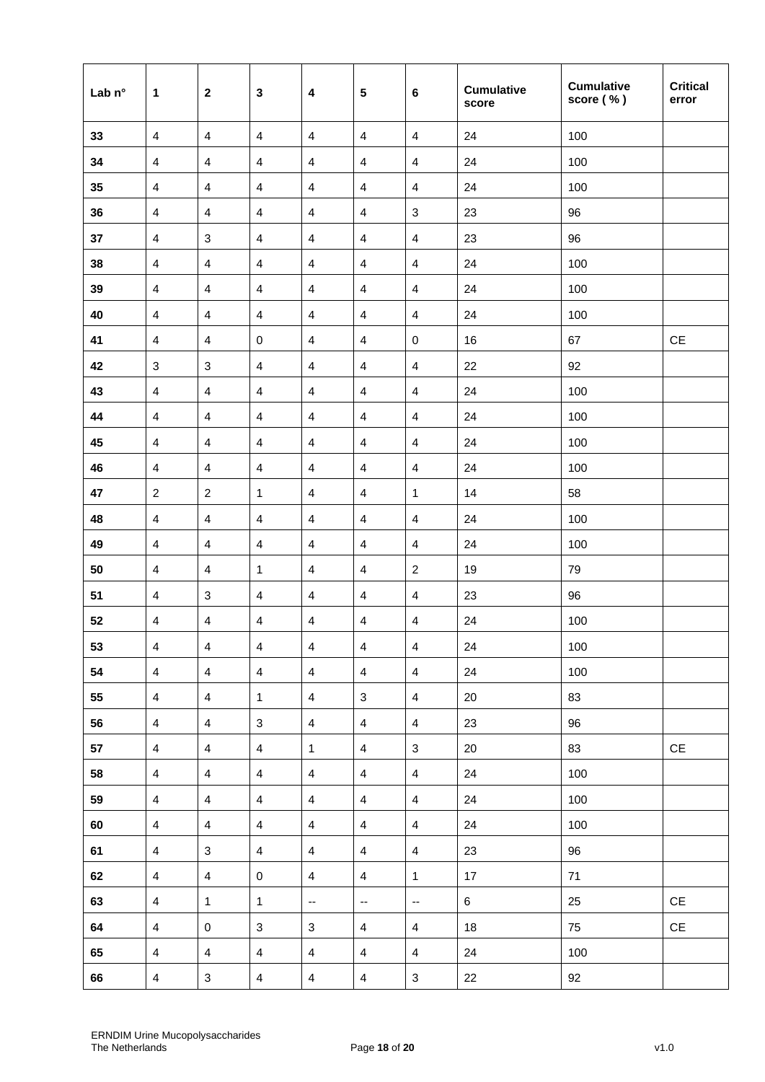| Lab n° | 1              | $\mathbf{2}$            | $\mathbf{3}$             | $\overline{\mathbf{4}}$  | 5                       | $\bf 6$                   | <b>Cumulative</b><br>score | <b>Cumulative</b><br>score (%) | <b>Critical</b><br>error      |
|--------|----------------|-------------------------|--------------------------|--------------------------|-------------------------|---------------------------|----------------------------|--------------------------------|-------------------------------|
| 33     | $\overline{4}$ | $\overline{4}$          | $\overline{4}$           | $\overline{4}$           | $\overline{\mathbf{4}}$ | $\overline{\mathbf{4}}$   | 24                         | 100                            |                               |
| 34     | $\overline{4}$ | $\overline{4}$          | $\overline{4}$           | $\overline{\mathbf{4}}$  | $\overline{\mathbf{4}}$ | $\overline{4}$            | 24                         | 100                            |                               |
| 35     | $\overline{4}$ | $\overline{\mathbf{4}}$ | $\overline{4}$           | $\overline{4}$           | $\overline{4}$          | $\overline{4}$            | 24                         | 100                            |                               |
| 36     | $\overline{4}$ | 4                       | 4                        | 4                        | 4                       | $\ensuremath{\mathsf{3}}$ | 23                         | 96                             |                               |
| 37     | $\overline{4}$ | $\sqrt{3}$              | 4                        | $\overline{\mathbf{4}}$  | $\overline{\mathbf{4}}$ | $\overline{\mathbf{4}}$   | 23                         | 96                             |                               |
| 38     | $\overline{4}$ | $\overline{4}$          | $\overline{4}$           | $\overline{4}$           | $\overline{4}$          | $\overline{\mathbf{4}}$   | 24                         | 100                            |                               |
| 39     | $\overline{4}$ | $\overline{4}$          | $\overline{\mathbf{4}}$  | $\overline{\mathbf{4}}$  | $\overline{\mathbf{4}}$ | $\overline{\mathbf{4}}$   | 24                         | 100                            |                               |
| 40     | $\overline{4}$ | $\overline{\mathbf{4}}$ | $\overline{4}$           | $\overline{4}$           | $\overline{4}$          | $\overline{\mathbf{4}}$   | 24                         | 100                            |                               |
| 41     | 4              | 4                       | $\pmb{0}$                | $\overline{4}$           | 4                       | $\pmb{0}$                 | 16                         | 67                             | $\mathsf{CE}$                 |
| 42     | $\sqrt{3}$     | $\sqrt{3}$              | $\overline{\mathbf{4}}$  | $\overline{\mathbf{4}}$  | $\overline{\mathbf{4}}$ | $\overline{\mathbf{4}}$   | 22                         | 92                             |                               |
| 43     | $\overline{4}$ | $\overline{\mathbf{4}}$ | $\overline{4}$           | $\overline{4}$           | $\overline{\mathbf{4}}$ | $\overline{4}$            | 24                         | 100                            |                               |
| 44     | $\overline{4}$ | 4                       | 4                        | $\overline{4}$           | 4                       | 4                         | 24                         | 100                            |                               |
| 45     | $\overline{4}$ | $\overline{\mathbf{4}}$ | $\overline{\mathbf{4}}$  | $\overline{\mathbf{4}}$  | $\overline{\mathbf{4}}$ | $\overline{\mathbf{4}}$   | 24                         | 100                            |                               |
| 46     | $\overline{4}$ | $\overline{4}$          | $\overline{\mathcal{A}}$ | $\overline{\mathbf{4}}$  | $\overline{\mathbf{4}}$ | $\overline{\mathbf{4}}$   | 24                         | 100                            |                               |
| 47     | $\overline{2}$ | $\overline{2}$          | $\mathbf{1}$             | $\overline{4}$           | $\overline{4}$          | $\mathbf{1}$              | 14                         | 58                             |                               |
| 48     | $\overline{4}$ | $\overline{\mathbf{4}}$ | $\overline{4}$           | $\overline{4}$           | $\overline{\mathbf{4}}$ | $\overline{\mathbf{4}}$   | 24                         | 100                            |                               |
| 49     | $\overline{4}$ | $\overline{4}$          | $\overline{4}$           | $\overline{4}$           | $\overline{\mathbf{4}}$ | $\overline{\mathbf{4}}$   | 24                         | 100                            |                               |
| 50     | $\overline{4}$ | $\overline{4}$          | 1                        | $\overline{\mathbf{4}}$  | $\overline{\mathbf{4}}$ | $\overline{c}$            | 19                         | 79                             |                               |
| 51     | $\overline{4}$ | $\sqrt{3}$              | $\overline{4}$           | $\overline{4}$           | $\overline{\mathbf{4}}$ | $\overline{\mathbf{4}}$   | 23                         | 96                             |                               |
| 52     | $\overline{4}$ | $\overline{\mathbf{4}}$ | $\overline{\mathbf{4}}$  | $\overline{\mathbf{4}}$  | $\overline{\mathbf{4}}$ | $\overline{\mathbf{4}}$   | 24                         | 100                            |                               |
| 53     | $\overline{4}$ | $\overline{4}$          | $\overline{4}$           | $\overline{4}$           | $\overline{4}$          | $\overline{4}$            | 24                         | 100                            |                               |
| 54     | $\overline{4}$ | $\overline{4}$          | $\overline{4}$           | $\overline{4}$           | $\overline{4}$          | $\overline{4}$            | 24                         | 100                            |                               |
| 55     | $\overline{4}$ | $\overline{4}$          | $\mathbf{1}$             | $\overline{4}$           | 3                       | $\overline{4}$            | 20                         | 83                             |                               |
| 56     | $\overline{4}$ | $\overline{4}$          | $\mathbf{3}$             | $\overline{4}$           | $\overline{4}$          | $\overline{4}$            | 23                         | 96                             |                               |
| 57     | $\overline{4}$ | $\overline{4}$          | $\overline{\mathbf{4}}$  | $\mathbf{1}$             | $\overline{4}$          | $\mathbf{3}$              | 20                         | 83                             | $\mathsf{CE}% _{\mathcal{A}}$ |
| 58     | $\overline{4}$ | $\overline{4}$          | $\overline{4}$           | $\overline{4}$           | $\overline{4}$          | $\overline{4}$            | 24                         | 100                            |                               |
| 59     | $\overline{4}$ | $\overline{4}$          | $\overline{4}$           | $\overline{4}$           | $\overline{4}$          | $\overline{4}$            | 24                         | 100                            |                               |
| 60     | $\overline{4}$ | $\overline{4}$          | $\overline{4}$           | $\overline{4}$           | $\overline{4}$          | $\overline{4}$            | 24                         | 100                            |                               |
| 61     | $\overline{4}$ | 3                       | $\overline{4}$           | $\overline{4}$           | $\overline{4}$          | $\overline{4}$            | 23                         | 96                             |                               |
| 62     | $\overline{4}$ | $\overline{4}$          | $\mathbf 0$              | $\overline{4}$           | $\overline{4}$          | $\mathbf{1}$              | 17                         | 71                             |                               |
| 63     | $\overline{4}$ | $\mathbf{1}$            | $\mathbf{1}$             | $\overline{\phantom{a}}$ | $\mathbb{Z}^2$          | $\overline{\phantom{a}}$  | $6\phantom{.}6$            | 25                             | $\mathsf{CE}% _{\mathcal{A}}$ |
| 64     | $\overline{4}$ | $\mathsf{O}\xspace$     | $\mathbf{3}$             | $\mathbf{3}$             | $\overline{4}$          | $\overline{4}$            | 18                         | 75                             | CE                            |
| 65     | $\overline{4}$ | $\overline{4}$          | $\overline{4}$           | $\overline{4}$           | $\overline{4}$          | $\overline{4}$            | 24                         | 100                            |                               |
| 66     | $\overline{4}$ | $\mathbf{3}$            | $\overline{4}$           | $\overline{4}$           | $\overline{4}$          | $\mathbf{3}$              | 22                         | 92                             |                               |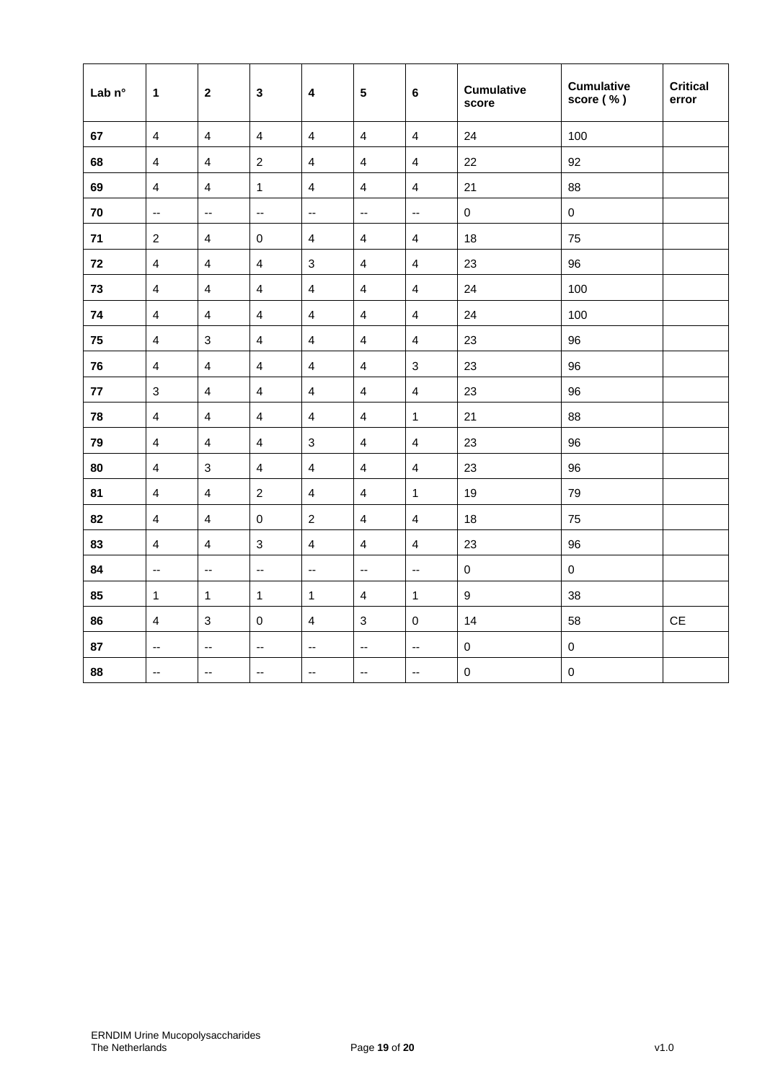| Lab n° | $\mathbf 1$              | $\overline{2}$            | $\mathbf{3}$             | $\overline{\mathbf{4}}$  | $\overline{\mathbf{5}}$  | $\bf 6$                   | <b>Cumulative</b><br>score | <b>Cumulative</b><br>score (%) | <b>Critical</b><br>error |
|--------|--------------------------|---------------------------|--------------------------|--------------------------|--------------------------|---------------------------|----------------------------|--------------------------------|--------------------------|
| 67     | $\overline{4}$           | $\overline{4}$            | $\overline{4}$           | $\overline{4}$           | $\overline{4}$           | $\overline{4}$            | 24                         | 100                            |                          |
| 68     | $\overline{4}$           | $\overline{4}$            | $\overline{2}$           | $\overline{4}$           | $\overline{4}$           | $\overline{4}$            | 22                         | 92                             |                          |
| 69     | $\overline{4}$           | $\overline{4}$            | $\mathbf{1}$             | $\overline{4}$           | $\overline{4}$           | $\overline{4}$            | 21                         | 88                             |                          |
| 70     | $\overline{\phantom{a}}$ | $\overline{\phantom{a}}$  | $\mathbb{L}^2$           | $\mathbb{L}^2$           | $\mathbb{L}^2$           | $\mathbb{L}^{\mathbb{L}}$ | $\pmb{0}$                  | $\pmb{0}$                      |                          |
| $71$   | $\overline{2}$           | $\overline{4}$            | $\mathsf{O}\xspace$      | $\overline{4}$           | $\overline{4}$           | $\overline{\mathbf{4}}$   | 18                         | 75                             |                          |
| 72     | $\overline{4}$           | $\overline{4}$            | $\overline{4}$           | $\mathbf{3}$             | $\overline{4}$           | $\overline{\mathbf{4}}$   | 23                         | 96                             |                          |
| 73     | $\overline{4}$           | $\overline{\mathbf{4}}$   | $\overline{4}$           | $\overline{4}$           | $\overline{\mathbf{4}}$  | $\overline{\mathbf{4}}$   | 24                         | 100                            |                          |
| 74     | $\overline{4}$           | $\overline{\mathbf{4}}$   | $\overline{\mathbf{4}}$  | $\overline{4}$           | $\overline{4}$           | $\overline{\mathbf{4}}$   | 24                         | 100                            |                          |
| 75     | $\overline{4}$           | $\sqrt{3}$                | $\overline{4}$           | $\overline{4}$           | $\overline{\mathbf{4}}$  | $\overline{\mathbf{4}}$   | 23                         | 96                             |                          |
| 76     | $\overline{4}$           | $\overline{4}$            | $\overline{4}$           | $\overline{4}$           | $\overline{4}$           | $\mathbf{3}$              | 23                         | 96                             |                          |
| 77     | $\mathbf{3}$             | $\overline{4}$            | $\overline{4}$           | $\overline{4}$           | $\overline{4}$           | $\overline{\mathbf{4}}$   | 23                         | 96                             |                          |
| 78     | $\overline{4}$           | $\overline{4}$            | $\overline{4}$           | $\overline{4}$           | $\overline{4}$           | $\mathbf{1}$              | 21                         | 88                             |                          |
| 79     | $\overline{4}$           | $\overline{4}$            | $\overline{4}$           | $\mathbf{3}$             | $\overline{4}$           | $\overline{\mathbf{4}}$   | 23                         | 96                             |                          |
| 80     | $\overline{4}$           | $\mathfrak{Z}$            | $\overline{4}$           | $\overline{4}$           | $\overline{\mathbf{4}}$  | $\overline{\mathbf{4}}$   | 23                         | 96                             |                          |
| 81     | $\overline{4}$           | $\overline{4}$            | $\boldsymbol{2}$         | $\overline{4}$           | $\overline{4}$           | $\mathbf{1}$              | 19                         | 79                             |                          |
| 82     | $\overline{4}$           | $\overline{4}$            | $\mathbf 0$              | $\overline{2}$           | $\overline{\mathbf{4}}$  | $\overline{\mathbf{4}}$   | 18                         | 75                             |                          |
| 83     | $\overline{4}$           | $\overline{4}$            | $\mathfrak{Z}$           | $\overline{4}$           | $\overline{4}$           | $\overline{\mathbf{4}}$   | 23                         | 96                             |                          |
| 84     | $\overline{\phantom{a}}$ | $\mathbb{L}^{\mathbb{L}}$ | $\mathbb{L}^2$           | $\mathbb{L}^2$           | $\mathbb{L}^2$           | $\mathbb{L}^{\mathbb{L}}$ | $\pmb{0}$                  | $\mathbf 0$                    |                          |
| 85     | $\mathbf{1}$             | $\mathbf{1}$              | $\mathbf{1}$             | $\mathbf{1}$             | $\overline{4}$           | $\mathbf{1}$              | $\boldsymbol{9}$           | 38                             |                          |
| 86     | $\overline{4}$           | $\mathfrak{Z}$            | $\mathbf 0$              | $\overline{4}$           | $\mathfrak{S}$           | $\pmb{0}$                 | 14                         | 58                             | $\mathsf{CE}$            |
| 87     | $\overline{\phantom{a}}$ | $\overline{\phantom{a}}$  | $\overline{\phantom{a}}$ | $\overline{\phantom{a}}$ | $\overline{\phantom{a}}$ | $\overline{\phantom{a}}$  | $\pmb{0}$                  | $\pmb{0}$                      |                          |
| 88     | $\overline{\phantom{a}}$ | $\overline{\phantom{a}}$  | $\overline{\phantom{a}}$ | $\overline{\phantom{a}}$ | $\overline{\phantom{a}}$ | ۰.                        | $\mathbf 0$                | $\mathbf 0$                    |                          |